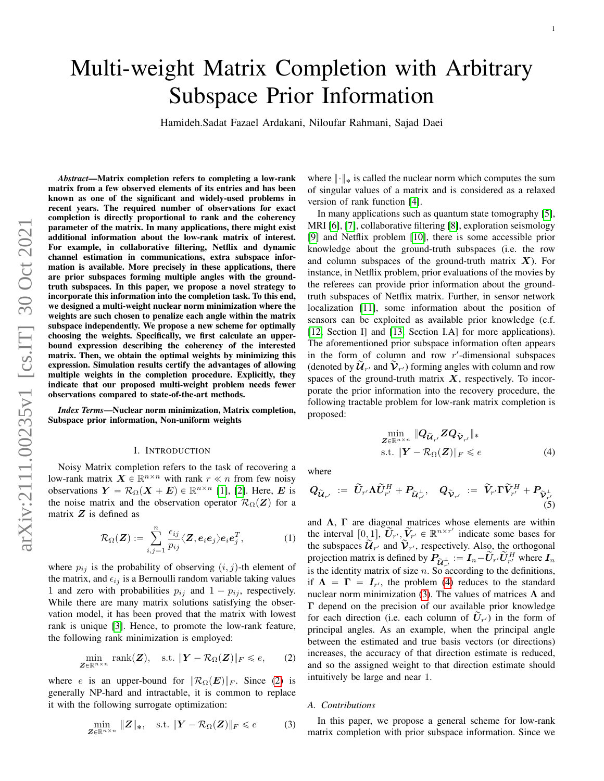# Multi-weight Matrix Completion with Arbitrary Subspace Prior Information

Hamideh.Sadat Fazael Ardakani, Niloufar Rahmani, Sajad Daei

*Abstract*—Matrix completion refers to completing a low-rank matrix from a few observed elements of its entries and has been known as one of the significant and widely-used problems in recent years. The required number of observations for exact completion is directly proportional to rank and the coherency parameter of the matrix. In many applications, there might exist additional information about the low-rank matrix of interest. For example, in collaborative filtering, Netflix and dynamic channel estimation in communications, extra subspace information is available. More precisely in these applications, there are prior subspaces forming multiple angles with the groundtruth subspaces. In this paper, we propose a novel strategy to incorporate this information into the completion task. To this end, we designed a multi-weight nuclear norm minimization where the weights are such chosen to penalize each angle within the matrix subspace independently. We propose a new scheme for optimally choosing the weights. Specifically, we first calculate an upperbound expression describing the coherency of the interested matrix. Then, we obtain the optimal weights by minimizing this expression. Simulation results certify the advantages of allowing multiple weights in the completion procedure. Explicitly, they indicate that our proposed multi-weight problem needs fewer observations compared to state-of-the-art methods.

*Index Terms*—Nuclear norm minimization, Matrix completion, Subspace prior information, Non-uniform weights

## I. INTRODUCTION

Noisy Matrix completion refers to the task of recovering a low-rank matrix  $\mathbf{X} \in \mathbb{R}^{n \times n}$  with rank  $r \ll n$  from few noisy observations  $Y = \mathcal{R}_{\Omega}(X + E) \in \mathbb{R}^{n \times n}$  [\[1\]](#page-10-0), [\[2\]](#page-10-1). Here, E is the noise matrix and the observation operator  $\mathcal{R}_{\Omega}(Z)$  for a matrix  $Z$  is defined as

$$
\mathcal{R}_{\Omega}(\boldsymbol{Z}) := \sum_{i,j=1}^{n} \frac{\epsilon_{ij}}{p_{ij}} \langle \boldsymbol{Z}, \boldsymbol{e}_i \boldsymbol{e}_j \rangle \boldsymbol{e}_i \boldsymbol{e}_j^T, \tag{1}
$$

where  $p_{ij}$  is the probability of observing  $(i, j)$ -th element of the matrix, and  $\epsilon_{ij}$  is a Bernoulli random variable taking values 1 and zero with probabilities  $p_{ij}$  and  $1 - p_{ij}$ , respectively. While there are many matrix solutions satisfying the observation model, it has been proved that the matrix with lowest rank is unique [\[3\]](#page-10-2). Hence, to promote the low-rank feature, the following rank minimization is employed:

$$
\min_{\mathbf{Z}\in\mathbb{R}^{n\times n}}\text{rank}(\mathbf{Z}), \quad \text{s.t. } \|\mathbf{Y}-\mathcal{R}_{\Omega}(\mathbf{Z})\|_{F}\leqslant e,\qquad(2)
$$

where e is an upper-bound for  $\|\mathcal{R}_{\Omega}(E)\|_F$ . Since [\(2\)](#page-0-0) is generally NP-hard and intractable, it is common to replace it with the following surrogate optimization:

$$
\min_{\mathbf{Z} \in \mathbb{R}^{n \times n}} \|\mathbf{Z}\|_{*}, \quad \text{s.t. } \|\mathbf{Y} - \mathcal{R}_{\Omega}(\mathbf{Z})\|_{F} \leq e \tag{3}
$$

where  $\|\cdot\|_*$  is called the nuclear norm which computes the sum of singular values of a matrix and is considered as a relaxed version of rank function [\[4\]](#page-10-3).

In many applications such as quantum state tomography [\[5\]](#page-10-4), MRI [\[6\]](#page-10-5), [\[7\]](#page-10-6), collaborative filtering [\[8\]](#page-10-7), exploration seismology [\[9\]](#page-11-0) and Netflix problem [\[10\]](#page-11-1), there is some accessible prior knowledge about the ground-truth subspaces (i.e. the row and column subspaces of the ground-truth matrix  $X$ ). For instance, in Netflix problem, prior evaluations of the movies by the referees can provide prior information about the groundtruth subspaces of Netflix matrix. Further, in sensor network localization [\[11\]](#page-11-2), some information about the position of sensors can be exploited as available prior knowledge (c.f. [\[12,](#page-11-3) Section I] and [\[13,](#page-11-4) Section I.A] for more applications). The aforementioned prior subspace information often appears in the form of column and row  $r'$ -dimensional subspaces (denoted by  $\widetilde{\mathcal{U}}_{r'}$  and  $\widetilde{\mathcal{V}}_{r'}$ ) forming angles with column and row spaces of the ground-truth matrix  $X$ , respectively. To incorporate the prior information into the recovery procedure, the following tractable problem for low-rank matrix completion is proposed:

<span id="page-0-1"></span>
$$
\min_{\mathbf{Z} \in \mathbb{R}^{n \times n}} \| \mathbf{Q}_{\widetilde{\mathbf{U}}_{r'}} \mathbf{Z} \mathbf{Q}_{\widetilde{\mathbf{V}}_{r'}} \|_{*}
$$
\n
$$
\text{s.t. } \|\mathbf{Y} - \mathcal{R}_{\Omega}(\mathbf{Z})\|_{F} \le e \tag{4}
$$

where

$$
Q_{\widetilde{\mathcal{U}}_{r'}} := \widetilde{U}_{r'} \Lambda \widetilde{U}_{r'}^H + P_{\widetilde{\mathcal{U}}_{r'}^{\perp}}, \quad Q_{\widetilde{\mathcal{V}}_{r'}} := \widetilde{V}_{r'} \Gamma \widetilde{V}_{r'}^H + P_{\widetilde{\mathcal{V}}_{r'}^{\perp}} \tag{5}
$$

<span id="page-0-3"></span>and  $\Lambda$ ,  $\Gamma$  are diagonal matrices whose elements are within the interval  $[0, 1]$ ,  $\widetilde{U}_{r}$ ,  $\widetilde{V}_{r}$   $\in \mathbb{R}^{n \times r'}$  indicate some bases for the subspaces  $\widetilde{\mathcal{U}}_{T'}$  and  $\widetilde{\mathcal{V}}_{T'}$ , respectively. Also, the orthogonal projection matrix is defined by  $P_{\tilde{U}_{r'}} := I_n - \tilde{U}_{r'} \tilde{U}_{r'}^H$  where  $I_n$ is the identity matrix of size *n*. So according to the definitions, if  $\Lambda = \Gamma = I_{r'}$ , the problem [\(4\)](#page-0-1) reduces to the standard nuclear norm minimization [\(3\)](#page-0-2). The values of matrices  $Λ$  and Γ depend on the precision of our available prior knowledge for each direction (i.e. each column of  $\tilde{U}_{r'}$ ) in the form of principal angles. As an example, when the principal angle between the estimated and true basis vectors (or directions) increases, the accuracy of that direction estimate is reduced, and so the assigned weight to that direction estimate should intuitively be large and near 1.

## <span id="page-0-0"></span>*A. Contributions*

<span id="page-0-2"></span>In this paper, we propose a general scheme for low-rank matrix completion with prior subspace information. Since we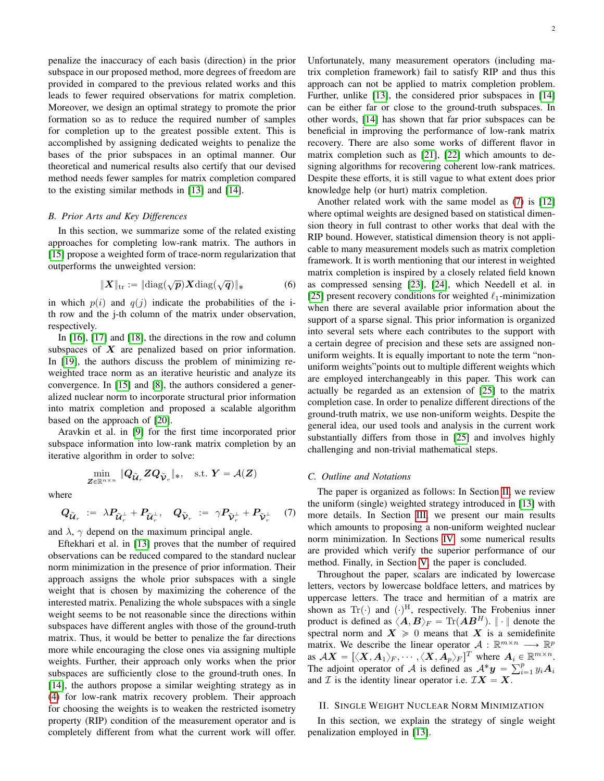penalize the inaccuracy of each basis (direction) in the prior subspace in our proposed method, more degrees of freedom are provided in compared to the previous related works and this leads to fewer required observations for matrix completion. Moreover, we design an optimal strategy to promote the prior formation so as to reduce the required number of samples for completion up to the greatest possible extent. This is accomplished by assigning dedicated weights to penalize the bases of the prior subspaces in an optimal manner. Our theoretical and numerical results also certify that our devised method needs fewer samples for matrix completion compared to the existing similar methods in [\[13\]](#page-11-4) and [\[14\]](#page-11-5).

#### *B. Prior Arts and Key Differences*

In this section, we summarize some of the related existing approaches for completing low-rank matrix. The authors in [\[15\]](#page-11-6) propose a weighted form of trace-norm regularization that outperforms the unweighted version:

$$
\|\boldsymbol{X}\|_{\text{tr}} := \|\text{diag}(\sqrt{\boldsymbol{p}})\boldsymbol{X}\text{diag}(\sqrt{\boldsymbol{q}})\|_{*} \tag{6}
$$

in which  $p(i)$  and  $q(j)$  indicate the probabilities of the ith row and the j-th column of the matrix under observation, respectively.

In [\[16\]](#page-11-7), [\[17\]](#page-11-8) and [\[18\]](#page-11-9), the directions in the row and column subspaces of  $X$  are penalized based on prior information. In [\[19\]](#page-11-10), the authors discuss the problem of minimizing reweighted trace norm as an iterative heuristic and analyze its convergence. In [\[15\]](#page-11-6) and [\[8\]](#page-10-7), the authors considered a generalized nuclear norm to incorporate structural prior information into matrix completion and proposed a scalable algorithm based on the approach of [\[20\]](#page-11-11).

Aravkin et al. in [\[9\]](#page-11-0) for the first time incorporated prior subspace information into low-rank matrix completion by an iterative algorithm in order to solve:

$$
\min_{\mathbf{Z}\in\mathbb{R}^{n\times n}}\|\mathbf{Q}_{\widetilde{\mathbf{U}}_r}\mathbf{Z}\mathbf{Q}_{\widetilde{\mathbf{V}}_r}\|_{\ast},\quad \text{s.t. }\mathbf{Y}=\mathcal{A}(\mathbf{Z})
$$

where

$$
Q_{\tilde{\mathcal{U}}_r} := \lambda P_{\tilde{\mathcal{U}}_r^{\perp}} + P_{\tilde{\mathcal{U}}_r^{\perp}}, \quad Q_{\tilde{\mathcal{V}}_r} := \gamma P_{\tilde{\mathcal{V}}_r^{\perp}} + P_{\tilde{\mathcal{V}}_r^{\perp}} \quad (7)
$$

and  $\lambda$ ,  $\gamma$  depend on the maximum principal angle.

Eftekhari et al. in [\[13\]](#page-11-4) proves that the number of required observations can be reduced compared to the standard nuclear norm minimization in the presence of prior information. Their approach assigns the whole prior subspaces with a single weight that is chosen by maximizing the coherence of the interested matrix. Penalizing the whole subspaces with a single weight seems to be not reasonable since the directions within subspaces have different angles with those of the ground-truth matrix. Thus, it would be better to penalize the far directions more while encouraging the close ones via assigning multiple weights. Further, their approach only works when the prior subspaces are sufficiently close to the ground-truth ones. In [\[14\]](#page-11-5), the authors propose a similar weighting strategy as in [\(4\)](#page-0-1) for low-rank matrix recovery problem. Their approach for choosing the weights is to weaken the restricted isometry property (RIP) condition of the measurement operator and is completely different from what the current work will offer. Unfortunately, many measurement operators (including matrix completion framework) fail to satisfy RIP and thus this approach can not be applied to matrix completion problem. Further, unlike [\[13\]](#page-11-4), the considered prior subspaces in [\[14\]](#page-11-5) can be either far or close to the ground-truth subspaces. In other words, [\[14\]](#page-11-5) has shown that far prior subspaces can be beneficial in improving the performance of low-rank matrix recovery. There are also some works of different flavor in matrix completion such as [\[21\]](#page-11-12), [\[22\]](#page-11-13) which amounts to designing algorithms for recovering coherent low-rank matrices. Despite these efforts, it is still vague to what extent does prior knowledge help (or hurt) matrix completion.

Another related work with the same model as [\(7\)](#page-1-0) is [\[12\]](#page-11-3) where optimal weights are designed based on statistical dimension theory in full contrast to other works that deal with the RIP bound. However, statistical dimension theory is not applicable to many measurement models such as matrix completion framework. It is worth mentioning that our interest in weighted matrix completion is inspired by a closely related field known as compressed sensing [\[23\]](#page-11-14), [\[24\]](#page-11-15), which Needell et al. in [\[25\]](#page-11-16) present recovery conditions for weighted  $\ell_1$ -minimization when there are several available prior information about the support of a sparse signal. This prior information is organized into several sets where each contributes to the support with a certain degree of precision and these sets are assigned nonuniform weights. It is equally important to note the term "nonuniform weights"points out to multiple different weights which are employed interchangeably in this paper. This work can actually be regarded as an extension of [\[25\]](#page-11-16) to the matrix completion case. In order to penalize different directions of the ground-truth matrix, we use non-uniform weights. Despite the general idea, our used tools and analysis in the current work substantially differs from those in [\[25\]](#page-11-16) and involves highly challenging and non-trivial mathematical steps.

#### *C. Outline and Notations*

<span id="page-1-0"></span>The paper is organized as follows: In Section [II,](#page-1-1) we review the uniform (single) weighted strategy introduced in [\[13\]](#page-11-4) with more details. In Section [III,](#page-2-0) we present our main results which amounts to proposing a non-uniform weighted nuclear norm minimization. In Sections [IV,](#page-3-0) some numerical results are provided which verify the superior performance of our method. Finally, in Section [V,](#page-3-1) the paper is concluded.

Throughout the paper, scalars are indicated by lowercase letters, vectors by lowercase boldface letters, and matrices by uppercase letters. The trace and hermitian of a matrix are shown as Tr( $\cdot$ ) and  $(\cdot)^{H}$ , respectively. The Frobenius inner product is defined as  $\langle A, B \rangle_F = \text{Tr}(AB^H)$ .  $|| \cdot ||$  denote the spectral norm and  $X \geq 0$  means that X is a semidefinite matrix. We describe the linear operator  $A: \mathbb{R}^{m \times n} \longrightarrow \mathbb{R}^p$ as  $AX = [\langle X, A_1 \rangle_F, \cdots, \langle X, A_p \rangle_F]^T$  where  $A_i \in \mathbb{R}^{m \times n}$ .<br>The edicint energies of A is defined as  $A^*_{\sigma}$ . The adjoint operator of A is defined as  $\mathcal{A}^* \mathbf{y} = \sum_{i=1}^p y_i \mathbf{A}_i$ and  $\mathcal I$  is the identity linear operator i.e.  $\mathcal I X = X$ .

#### <span id="page-1-1"></span>II. SINGLE WEIGHT NUCLEAR NORM MINIMIZATION

In this section, we explain the strategy of single weight penalization employed in [\[13\]](#page-11-4).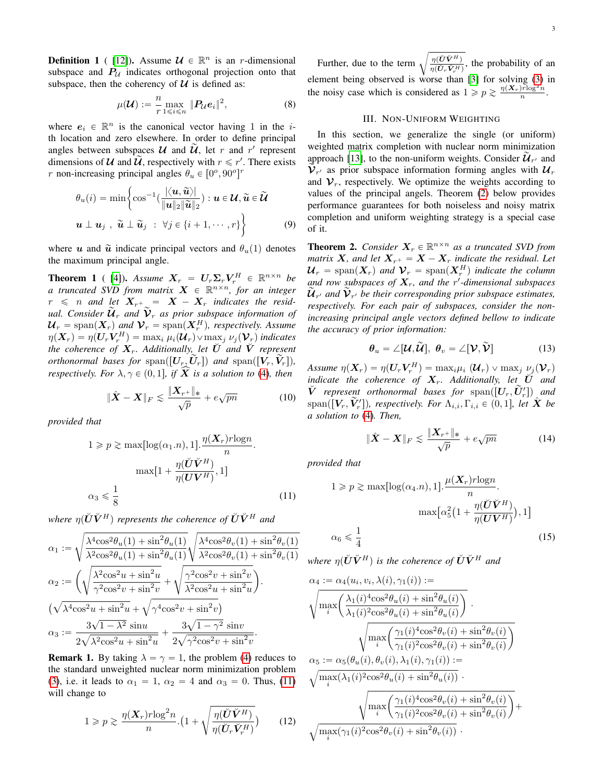**Definition 1** ( [\[12\]](#page-11-3)). Assume  $\mathcal{U} \in \mathbb{R}^n$  is an *r*-dimensional subspace and  $P_U$  indicates orthogonal projection onto that subspace, then the coherency of  $U$  is defined as:

$$
\mu(\mathcal{U}) := \frac{n}{r} \max_{1 \leq i \leq n} \|P_{\mathcal{U}} e_i\|^2, \tag{8}
$$

where  $e_i \in \mathbb{R}^n$  is the canonical vector having 1 in the *i*th location and zero elsewhere. In order to define principal angles between subspaces  $U$  and  $\widetilde{U}$ , let r and r' represent dimensions of U and  $\tilde{U}$ , respectively with  $r \le r'$ . There exists r non-increasing principal angles  $\theta_u \in [0^o, 90^o]^r$ 

$$
\theta_u(i) = \min \left\{ \cos^{-1}(\frac{|\langle \boldsymbol{u}, \widetilde{\boldsymbol{u}} \rangle|}{\|\boldsymbol{u}\|_2 \|\widetilde{\boldsymbol{u}}\|_2}) : \boldsymbol{u} \in \mathcal{U}, \widetilde{\boldsymbol{u}} \in \widetilde{\mathcal{U}}
$$

$$
\boldsymbol{u} \perp \boldsymbol{u}_j \ , \ \widetilde{\boldsymbol{u}} \perp \widetilde{\boldsymbol{u}}_j \ : \ \forall j \in \{i+1, \cdots, r\} \right\}
$$
(9)

where u and  $\tilde{u}$  indicate principal vectors and  $\theta_u(1)$  denotes the maximum principal angle.

**Theorem 1** ( [\[4\]](#page-10-3)). *Assume*  $X_r = U_r \Sigma_r V_r^H \in \mathbb{R}^{n \times n}$  be *a truncated SVD from matrix*  $\boldsymbol{X}$   $\in$   $\mathbb{R}^{n \times n}$ *, for an integer*  $r \leq n$  and let  $X_{r^+} = X - X_r$  indicates the resid*ual.* Consider  $\mathcal{U}_r$  and  $\mathcal{V}_r$  as prior subspace information of  $\mathcal{U}_r = \text{span}(\boldsymbol{X}_r)$  and  $\mathcal{V}_r = \text{span}(\boldsymbol{X}_r^H)$ , respectively. Assume  $\eta(\bm{X}_r) = \eta(\bm{U}_r\bm{V}_r^H) = \max_i \mu_i(\bm{\mathcal{U}}_r) \vee \max_j \nu_j(\bm{\mathcal{V}}_r)$  indicates *the coherence of*  $X_r$ . Additionally, let  $\check{U}$  and  $\check{V}$  represent *orthonormal bases for*  $\text{span}([U_r, U_r])$  *and*  $\text{span}([V_r, V_r])$ *, respectively. For*  $\lambda, \gamma \in (0, 1]$ *, if*  $\widehat{X}$  *is a solution to* [\(4\)](#page-0-1)*, then* 

$$
\|\hat{\mathbf{X}} - \mathbf{X}\|_{F} \lesssim \frac{\|\mathbf{X}_{r^{+}}\|_{*}}{\sqrt{p}} + e\sqrt{pn}
$$
 (10)

*provided that*

$$
1 \ge p \ge \max[\log(\alpha_1.n), 1]. \frac{\eta(\mathbf{X}_r)r \log n}{n}.
$$

$$
\max[1 + \frac{\eta(\breve{\mathbf{U}}\breve{\mathbf{V}}^H)}{\eta(\mathbf{U}\mathbf{V}^H)}, 1]
$$

$$
\alpha_3 \le \frac{1}{8} \tag{11}
$$

*where*  $\eta(\check{U}\check{V}^H)$  *represents the coherence of*  $\check{U}\check{V}^H$  *and* d

$$
\alpha_{1} := \sqrt{\frac{\lambda^{4}\cos^{2}\theta_{u}(1) + \sin^{2}\theta_{u}(1)}{\lambda^{2}\cos^{2}\theta_{u}(1) + \sin^{2}\theta_{u}(1)}} \sqrt{\frac{\lambda^{4}\cos^{2}\theta_{v}(1) + \sin^{2}\theta_{v}(1)}{\lambda^{2}\cos^{2}\theta_{v}(1) + \sin^{2}\theta_{v}(1)}}
$$

$$
\alpha_{2} := \left(\sqrt{\frac{\lambda^{2}\cos^{2}u + \sin^{2}u}{\gamma^{2}\cos^{2}v + \sin^{2}v}} + \sqrt{\frac{\gamma^{2}\cos^{2}v + \sin^{2}v}{\lambda^{2}\cos^{2}u + \sin^{2}u}}\right).
$$

$$
(\sqrt{\lambda^{4}\cos^{2}u + \sin^{2}u} + \sqrt{\gamma^{4}\cos^{2}v + \sin^{2}v})
$$

$$
\alpha_{3} := \frac{3\sqrt{1 - \lambda^{2}}\sin u}{2\sqrt{\lambda^{2}\cos^{2}u + \sin^{2}u}} + \frac{3\sqrt{1 - \gamma^{2}}\sin v}{2\sqrt{\gamma^{2}\cos^{2}v + \sin^{2}v}}.
$$

**Remark 1.** By taking  $\lambda = \gamma = 1$ , the problem [\(4\)](#page-0-1) reduces to the standard unweighted nuclear norm minimization problem [\(3\)](#page-0-2), i.e. it leads to  $\alpha_1 = 1$ ,  $\alpha_2 = 4$  and  $\alpha_3 = 0$ . Thus, [\(11\)](#page-2-1) will change to

$$
1 \ge p \ge \frac{\eta(\boldsymbol{X}_r)r \log^2 n}{n} \cdot \left(1 + \sqrt{\frac{\eta(\boldsymbol{U}\boldsymbol{V}^H)}{\eta(\boldsymbol{U}_r\boldsymbol{V}_r^H)}}\right) \tag{12}
$$

Further, due to the term  $\sqrt{\frac{\eta(\check{U}\check{V}^H)}{\eta(\check{U}\check{V}^H)}}$  $\frac{\eta(UV)}{\eta(\check{U}_r \check{V}_r^H)}$ , the probability of an element being observed is worse than [\[3\]](#page-10-2) for solving [\(3\)](#page-0-2) in the noisy case which is considered as  $1 \ge p \ge \frac{\eta(X_r)r\log^2 n}{n}$ .

## III. NON-UNIFORM WEIGHTING

<span id="page-2-5"></span><span id="page-2-0"></span>In this section, we generalize the single (or uniform) weighted matrix completion with nuclear norm minimization approach [\[13\]](#page-11-4), to the non-uniform weights. Consider  $\tilde{\mathcal{U}}_{r'}$  and  $\hat{\mathcal{V}}_{r'}$  as prior subspace information forming angles with  $\mathcal{U}_r$ and  $\mathcal{V}_r$ , respectively. We optimize the weights according to values of the principal angels. Theorem [\(2\)](#page-2-2) below provides performance guarantees for both noiseless and noisy matrix completion and uniform weighting strategy is a special case of it.

<span id="page-2-2"></span>**Theorem 2.** *Consider*  $X_r \in \mathbb{R}^{n \times n}$  *as a truncated SVD from matrix*  $X$ *, and let*  $X_{r^+} = X - X_r$  *indicate the residual. Let*  ${\boldsymbol{\mathcal{U}}_r = \mathrm{span}({\boldsymbol{X}}_r)$  and  ${\boldsymbol{\mathcal{V}}_r = \mathrm{span}({\boldsymbol{X}}_r^H)}$  indicate the column and row subspaces of  $X_r$ , and the r'-dimensional subspaces  $\widetilde{u}_{r'}$  and  $\widetilde{v}_{r'}$  be their corresponding prior subspace estimates, *respectively. For each pair of subspaces, consider the nonincreasing principal angle vectors defined bellow to indicate the accuracy of prior information:*

$$
\boldsymbol{\theta}_{u} = \angle[\mathcal{U}, \widetilde{\mathcal{U}}], \ \boldsymbol{\theta}_{v} = \angle[\mathcal{V}, \widetilde{\mathcal{V}}]
$$
(13)

 $Assume \,\, \eta(\boldsymbol{X}_r) = \eta(\boldsymbol{U}_r \boldsymbol{V}_r^H) = \max_i \mu_i \,\,(\boldsymbol{\mathcal{U}}_r) \vee \max_j \,\, \nu_j(\boldsymbol{\mathcal{V}}_r)$ *indicate the coherence of*  $X_r$ . Additionally, let  $\check{U}$  and  $\check{V}$  *represent orthonormal bases for* span $([U_r, \check{U}_r'])$  *and* span( $[V_r, \tilde{V}_r']$ ), respectively. For  $\Lambda_{i,i}, \Gamma_{i,i} \in (0,1]$ , let  $\hat{X}$  be *a solution to* [\(4\)](#page-0-1)*. Then,*

<span id="page-2-4"></span><span id="page-2-3"></span>
$$
\|\hat{\mathbf{X}} - \mathbf{X}\|_{F} \lesssim \frac{\|\mathbf{X}_{r^{+}}\|_{*}}{\sqrt{p}} + e\sqrt{pn}
$$
 (14)

<span id="page-2-1"></span>*provided that*

$$
1 \ge p \ge \max[\log(\alpha_4.n), 1]. \frac{\mu(\mathbf{X}_r) r \log n}{n}.
$$

$$
\max[\alpha_5^2 \left(1 + \frac{\eta(\breve{\mathbf{U}} \breve{\mathbf{V}}^H)}{\eta(\mathbf{U} \mathbf{V}^H)}\right), 1]
$$

$$
\alpha_6 \le \frac{1}{4}
$$
(15)

*where*  $\eta(\check{U}\check{V}^H)$  *is the coherence of*  $\check{U}\check{V}^H$  *and* 

$$
\alpha_4 := \alpha_4(u_i, v_i, \lambda(i), \gamma_1(i)) :=
$$
\n
$$
\sqrt{\max_i \left( \frac{\lambda_1(i)^4 \cos^2 \theta_u(i) + \sin^2 \theta_u(i)}{\lambda_1(i)^2 \cos^2 \theta_u(i) + \sin^2 \theta_u(i)} \right)} \cdot \frac{\sqrt{\max_i \left( \frac{\gamma_1(i)^4 \cos^2 \theta_v(i) + \sin^2 \theta_v(i)}{\gamma_1(i)^2 \cos^2 \theta_v(i) + \sin^2 \theta_v(i)} \right)}}{\alpha_5 := \alpha_5(\theta_u(i), \theta_v(i), \lambda_1(i), \gamma_1(i)) :=
$$
\n
$$
\sqrt{\max_i (\lambda_1(i)^2 \cos^2 \theta_u(i) + \sin^2 \theta_u(i))}
$$
\n
$$
\sqrt{\max_i \left( \frac{\gamma_1(i)^4 \cos^2 \theta_v(i) + \sin^2 \theta_v(i)}{\gamma_1(i)^2 \cos^2 \theta_v(i) + \sin^2 \theta_v(i)} \right)} + \sqrt{\max_i (\gamma_1(i)^2 \cos^2 \theta_v(i) + \sin^2 \theta_v(i))}
$$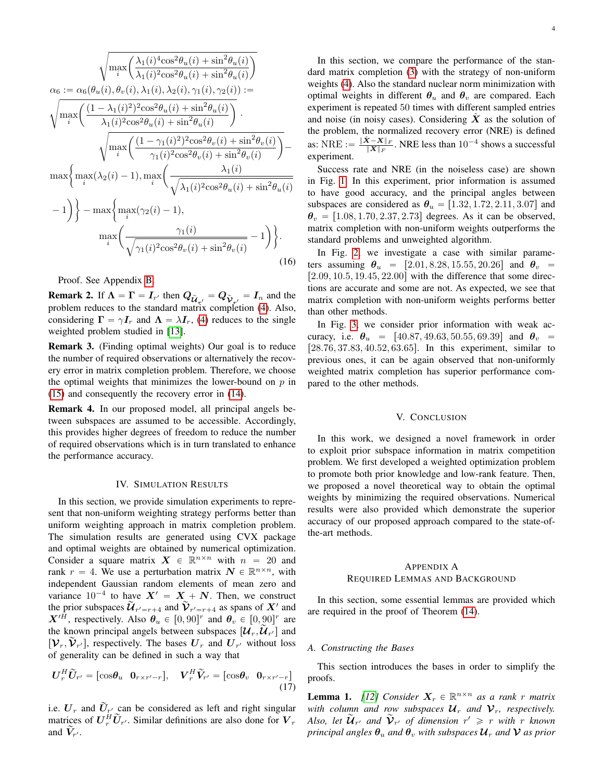$$
\sqrt{\max_{i} \left( \frac{\lambda_{1}(i)^{4} \cos^{2} \theta_{u}(i) + \sin^{2} \theta_{u}(i)}{\lambda_{1}(i)^{2} \cos^{2} \theta_{u}(i) + \sin^{2} \theta_{u}(i)} \right)}
$$
\n
$$
\alpha_{6} := \alpha_{6}(\theta_{u}(i), \theta_{v}(i), \lambda_{1}(i), \lambda_{2}(i), \gamma_{1}(i), \gamma_{2}(i)) :=
$$
\n
$$
\sqrt{\max_{i} \left( \frac{(1 - \lambda_{1}(i)^{2})^{2} \cos^{2} \theta_{u}(i) + \sin^{2} \theta_{u}(i)}{\lambda_{1}(i)^{2} \cos^{2} \theta_{u}(i) + \sin^{2} \theta_{u}(i)} \right)} \cdot \sqrt{\max_{i} \left( \frac{(1 - \gamma_{1}(i)^{2})^{2} \cos^{2} \theta_{v}(i) + \sin^{2} \theta_{v}(i)}{\gamma_{1}(i)^{2} \cos^{2} \theta_{v}(i) + \sin^{2} \theta_{v}(i)} \right)} - \max \left\{ \max_{i} (\lambda_{2}(i) - 1), \max_{i} \left( \frac{\lambda_{1}(i)}{\sqrt{\lambda_{1}(i)^{2} \cos^{2} \theta_{u}(i) + \sin^{2} \theta_{u}(i)}} - 1 \right) \right\} - \max \left\{ \max_{i} (\gamma_{2}(i) - 1), \max_{i} \left( \frac{\gamma_{1}(i)}{\sqrt{\gamma_{1}(i)^{2} \cos^{2} \theta_{v}(i) + \sin^{2} \theta_{v}(i)}} - 1 \right) \right\}.
$$
\n(16)

Proof. See Appendix [B.](#page-6-0)

**Remark 2.** If  $\Lambda = \Gamma = I_{r'}$  then  $Q_{\tilde{U}_{r'}} = Q_{\tilde{V}_{r'}} = I_n$  and the problem reduces to the standard matrix completion [\(4\)](#page-0-1). Also, considering  $\Gamma = \gamma I_r$  and  $\Lambda = \lambda I_r$ , [\(4\)](#page-0-1) reduces to the single weighted problem studied in [\[13\]](#page-11-4).

Remark 3. (Finding optimal weights) Our goal is to reduce the number of required observations or alternatively the recovery error in matrix completion problem. Therefore, we choose the optimal weights that minimizes the lower-bound on  $p$  in [\(15\)](#page-2-3) and consequently the recovery error in [\(14\)](#page-2-4).

Remark 4. In our proposed model, all principal angels between subspaces are assumed to be accessible. Accordingly, this provides higher degrees of freedom to reduce the number of required observations which is in turn translated to enhance the performance accuracy.

#### IV. SIMULATION RESULTS

<span id="page-3-0"></span>In this section, we provide simulation experiments to represent that non-uniform weighting strategy performs better than uniform weighting approach in matrix completion problem. The simulation results are generated using CVX package and optimal weights are obtained by numerical optimization. Consider a square matrix  $X \in \mathbb{R}^{n \times n}$  with  $n = 20$  and rank  $r = 4$ . We use a perturbation matrix  $N \in \mathbb{R}^{n \times n}$ , with independent Gaussian random elements of mean zero and variance  $10^{-4}$  to have  $X' = X + N$ . Then, we construct the prior subspaces  $\widetilde{\mathcal{U}}_{r'=r+4}$  and  $\widetilde{\mathcal{V}}_{r'=r+4}$  as spans of  $X'$  and  $X'^H$ , respectively. Also  $\theta_u \in [0, 90]^r$  and  $\theta_v \in [0, 90]^r$  are the known principal angels between subspaces  $[\mathcal{U}_r, \widetilde{\mathcal{U}}_{r'}]$  and  $[V_r, \tilde{V}_{r'}]$ , respectively. The bases  $U_r$  and  $U_{r'}$  without loss of generality can be defined in such a way that

$$
\boldsymbol{U}_{r}^{H}\widetilde{\boldsymbol{U}}_{r'} = \begin{bmatrix} \cos\theta_{u} & \mathbf{0}_{r \times r'-r} \end{bmatrix}, \quad \boldsymbol{V}_{r}^{H}\widetilde{\boldsymbol{V}}_{r'} = \begin{bmatrix} \cos\theta_{v} & \mathbf{0}_{r \times r'-r} \end{bmatrix} \tag{17}
$$

i.e.  $U_r$  and  $\tilde{U}_{r'}$  can be considered as left and right singular matrices of  $U_r^H \tilde{U}_{r'}$ . Similar definitions are also done for  $V_r$ and  $\widetilde{V}_{r'}$ .

In this section, we compare the performance of the standard matrix completion [\(3\)](#page-0-2) with the strategy of non-uniform weights [\(4\)](#page-0-1). Also the standard nuclear norm minimization with optimal weights in different  $\theta_u$  and  $\theta_v$  are compared. Each experiment is repeated 50 times with different sampled entries and noise (in noisy cases). Considering  $X$  as the solution of the problem, the normalized recovery error (NRE) is defined as:  $\text{NRE} := \frac{\|\hat{\mathbf{X}} - \mathbf{X}\|_F}{\|\mathbf{X}\|_F}$  $\frac{X-X\|_F}{\|X\|_F}$ . NRE less than  $10^{-4}$  shows a successful experiment.

Success rate and NRE (in the noiseless case) are shown in Fig. [1.](#page-4-0) In this experiment, prior information is assumed to have good accuracy, and the principal angles between subspaces are considered as  $\theta_u = [1.32, 1.72, 2.11, 3.07]$  and  $\theta_v = [1.08, 1.70, 2.37, 2.73]$  degrees. As it can be observed, matrix completion with non-uniform weights outperforms the standard problems and unweighted algorithm.

In Fig. [2,](#page-4-1) we investigate a case with similar parameters assuming  $\theta_u = [2.01, 8.28, 15.55, 20.26]$  and  $\theta_v =$  $[2.09, 10.5, 19.45, 22.00]$  with the difference that some directions are accurate and some are not. As expected, we see that matrix completion with non-uniform weights performs better than other methods.

In Fig. [3,](#page-4-2) we consider prior information with weak accuracy, i.e.  $\theta_u = [40.87, 49.63, 50.55, 69.39]$  and  $\theta_v =$  $[28.76, 37.83, 40.52, 63.65]$ . In this experiment, similar to previous ones, it can be again observed that non-uniformly weighted matrix completion has superior performance compared to the other methods.

#### V. CONCLUSION

<span id="page-3-1"></span>In this work, we designed a novel framework in order to exploit prior subspace information in matrix competition problem. We first developed a weighted optimization problem to promote both prior knowledge and low-rank feature. Then, we proposed a novel theoretical way to obtain the optimal weights by minimizing the required observations. Numerical results were also provided which demonstrate the superior accuracy of our proposed approach compared to the state-ofthe-art methods.

## APPENDIX A REQUIRED LEMMAS AND BACKGROUND

In this section, some essential lemmas are provided which are required in the proof of Theorem [\(14\)](#page-2-4).

#### *A. Constructing the Bases*

This section introduces the bases in order to simplify the proofs.

<span id="page-3-2"></span>**Lemma 1.** [\[12\]](#page-11-3) Consider  $X_r \in \mathbb{R}^{n \times n}$  as a rank r matrix *with column and row subspaces*  $\mathcal{U}_r$  *and*  $\mathcal{V}_r$ *, respectively.* Also, let  $\widetilde{u}_{r'}$  and  $\widetilde{v}_{r'}$  of dimension  $r' \geq r$  with r known *principal angles*  $\theta_u$  *and*  $\theta_v$  *with subspaces*  $\mathcal{U}_r$  *and*  $\mathcal{V}$  *as prior*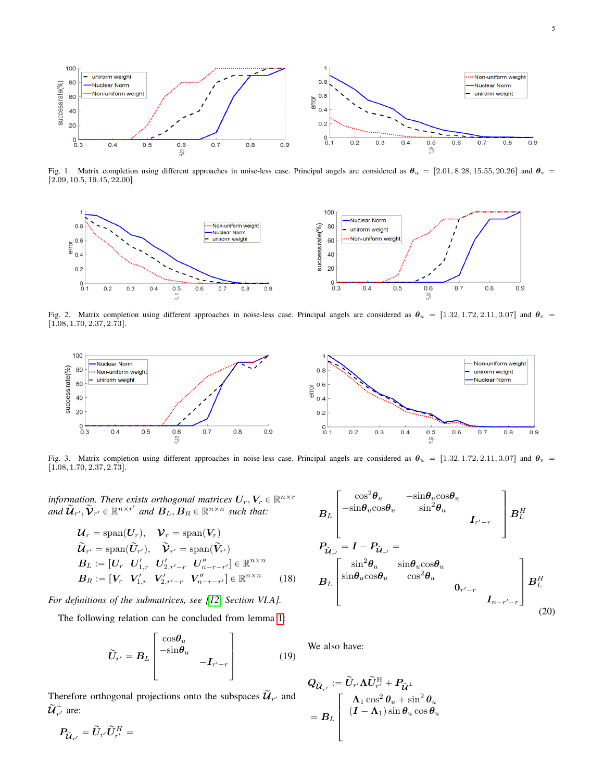<span id="page-4-0"></span>

Fig. 1. Matrix completion using different approaches in noise-less case. Principal angels are considered as  $\theta_u = [2.01, 8.28, 15.55, 20.26]$  and  $\theta_v =$  $[2.09, 10.5, 19.45, 22.00].$ 

<span id="page-4-1"></span>

Fig. 2. Matrix completion using different approaches in noise-less case. Principal angels are considered as  $\theta_u = [1.32, 1.72, 2.11, 3.07]$  and  $\theta_v$  $[1.08, 1.70, 2.37, 2.73].$ 

<span id="page-4-2"></span>

Fig. 3. Matrix completion using different approaches in noise-less case. Principal angels are considered as  $\theta_u = [1.32, 1.72, 2.11, 3.07]$  and  $\theta_v$  $[1.08, 1.70, 2.37, 2.73].$ 

information. There exists orthogonal matrices  $\bm{U}_r, \bm{V}_r \in \mathbb{R}^{n \times r}$ and  $\widetilde{\mathcal{U}}_{r'}, \widetilde{\mathcal{V}}_{r'} \in \mathbb{R}^{n \times r'}$  and  $B_L, B_R \in \mathbb{R}^{n \times n}$  such that:

$$
\mathcal{U}_r = \text{span}(\mathbf{U}_r), \quad \mathcal{V}_r = \text{span}(\mathbf{V}_r)
$$
\n
$$
\widetilde{\mathcal{U}}_{r'} = \text{span}(\widetilde{\mathcal{U}}_{r'}), \quad \widetilde{\mathcal{V}}_{r'} = \text{span}(\widetilde{\mathcal{V}}_{r'})
$$
\n
$$
\mathbf{B}_L := [\mathbf{U}_r \quad \mathbf{U}'_{1,r} \quad \mathbf{U}'_{2,r'-r} \quad \mathbf{U}''_{n-r-r'}] \in \mathbb{R}^{n \times n}
$$
\n
$$
\mathbf{B}_R := [\mathbf{V}_r \quad \mathbf{V}'_{1,r} \quad \mathbf{V}'_{2,r'-r} \quad \mathbf{V}''_{n-r-r'}] \in \mathbb{R}^{n \times n}
$$
\n(18)

*For definitions of the submatrices, see [\[12,](#page-11-3) Section VI.A].*

»

 $\bm{P}_{\bm{\widetilde{\mathcal{U}}}_{r'}} = \widetilde{\bm{U}}_{r'}\widetilde{\bm{U}}_{r'}^H =$ 

The following relation can be concluded from lemma [1:](#page-3-2)

$$
\widetilde{U}_{r'} = B_L \begin{bmatrix} \cos \theta_u & & \\ -\sin \theta_u & & \\ & -I_{r'-r} \end{bmatrix}
$$
 (19)

fi

Therefore orthogonal projections onto the subspaces  $\widetilde{\mathcal{U}}_{r'}$  and  $\widetilde{\boldsymbol{\mathcal{U}}}_{r'}^{\perp}$  $\overline{r'}$  are:

$$
B_{L}\begin{bmatrix} \cos^{2}\theta_{u} & -\sin\theta_{u}\cos\theta_{u} \\ -\sin\theta_{u}\cos\theta_{u} & \sin^{2}\theta_{u} \\ \vdots & \vdots \\ P_{\tilde{u}_{r'}^{+}} = I - P_{\tilde{u}_{r'}} = \end{bmatrix} B_{L}^{H}
$$

$$
B_{L}\begin{bmatrix} \sin^{2}\theta_{u} & \sin\theta_{u}\cos\theta_{u} \\ \sin\theta_{u}\cos\theta_{u} & \cos^{2}\theta_{u} \\ \vdots & \vdots \\ P_{n-r'-r} \end{bmatrix} B_{L}^{H}
$$

$$
B_{L}\begin{bmatrix} \sin^{2}\theta_{u} & \sin\theta_{u}\cos\theta_{u} \\ \sin\theta_{u}\cos\theta_{u} & \cos^{2}\theta_{u} \\ \vdots & \vdots \\ P_{n-r'-r} \end{bmatrix} B_{L}^{H}
$$
(20)

fi

We also have:

»

$$
Q_{\widetilde{\mathcal{U}}_{r'}} := \widetilde{U}_{r'} \Lambda \widetilde{U}_{r'}^{\mathrm{H}} + P_{\widetilde{\mathcal{U}}^{\perp}}
$$
  
= 
$$
B_L \left[ \begin{array}{c} \Lambda_1 \cos^2 \theta_u + \sin^2 \theta_u \\ (I - \Lambda_1) \sin \theta_u \cos \theta_u \end{array} \right]
$$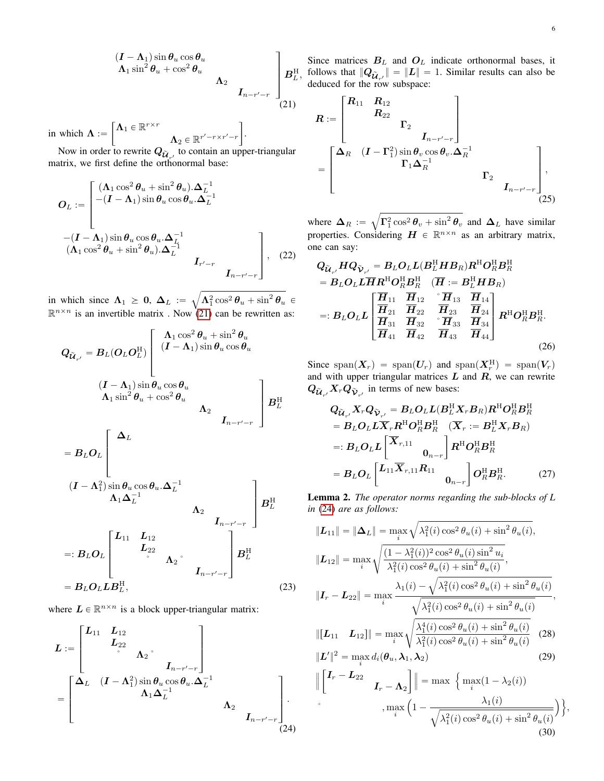J. .

in which  $\Lambda :=$  $\big[ \mathbf{\Lambda}_1 \in \mathbb{R}^{r \times r} \big]$  $\mathbf{\Lambda}_2 \in \mathbb{R}^{r'-r\times r'-r}$ 

Now in order to rewrite  $Q_{\tilde{U}_{r'}}$  to contain an upper-triangular matrix, we first define the orthonormal base:

$$
O_L := \begin{bmatrix} (\Lambda_1 \cos^2 \theta_u + \sin^2 \theta_u) . \Delta_L^{-1} \\ -(I - \Lambda_1) \sin \theta_u \cos \theta_u . \Delta_L^{-1} \\ \vdots \\ (- (I - \Lambda_1) \sin \theta_u \cos \theta_u . \Delta_L^{-1} \\ (\Lambda_1 \cos^2 \theta_u + \sin^2 \theta_u) . \Delta_L^{-1} \\ & I_{r'-r} \end{bmatrix}, \quad (22)
$$

in which since  $\Lambda_1 \geq 0$ ,  $\Delta_L := \sqrt{\Lambda_1^2 \cos^2 \theta_u + \sin^2 \theta_u}$  $\mathbb{R}^{n \times n}$  is an invertible matrix . Now [\(21\)](#page-5-0) can be rewritten as:

$$
Q_{\tilde{u}_{r'}} = B_L(O_L O_L^{\text{H}}) \begin{bmatrix} \Lambda_1 \cos^2 \theta_u + \sin^2 \theta_u \\ (I - \Lambda_1) \sin \theta_u \cos \theta_u \\ (I - \Lambda_1) \sin \theta_u \cos \theta_u \\ \Lambda_1 \sin^2 \theta_u + \cos^2 \theta_u \end{bmatrix}
$$

$$
I_{n-r'-r} \begin{bmatrix} \Delta_L \\ H_L \end{bmatrix}
$$

$$
= B_L O_L \begin{bmatrix} \Delta_L \\ \Lambda_1 \Delta_L^{-1} \\ \Lambda_1 \Delta_L^{-1} \\ \end{bmatrix}
$$

$$
=: B_L O_L \begin{bmatrix} L_{11} & L_{12} & & \\ L_{22} & & \\ & & \Lambda_2 \\ & & & L_{n-r'-r} \end{bmatrix} B_L^{\text{H}}
$$

$$
= B_L O_L L B_L^{\text{H}}, \qquad (23)
$$

where  $L \in \mathbb{R}^{n \times n}$  is a block upper-triangular matrix:

$$
L := \begin{bmatrix} L_{11} & L_{12} & & & \\ & L_{22} & & & \\ & & \Delta_2 & & \\ & & & I_{n-r'-r} \end{bmatrix}
$$
  
= 
$$
\begin{bmatrix} \Delta_L & (I - \Lambda_1^2) \sin \theta_u \cos \theta_u . \Delta_L^{-1} & & \\ & & \Lambda_1 \Delta_L^{-1} & & \\ & & & \Lambda_2 & \\ & & & & I_{n-r'-r} \end{bmatrix} .
$$
 (24)

Since matrices  $B_L$  and  $O_L$  indicate orthonormal bases, it follows that  $||Q_{\tilde{U}_{r'}}|| = ||L|| = 1$ . Similar results can also be deduced for the row subspace: » fi

<span id="page-5-0"></span>
$$
R := \begin{bmatrix} R_{11} & R_{12} \\ & R_{22} \\ & & \Gamma_2 \\ & & I_{n-r'-r} \end{bmatrix}
$$
  
= 
$$
\begin{bmatrix} \Delta_R & (I - \Gamma_1^2) \sin \theta_v \cos \theta_v . \Delta_R^{-1} \\ & & \Gamma_1 \Delta_R^{-1} \\ & & & \Gamma_2 \\ & & & I_{n-r'-r} \end{bmatrix},
$$
(25)

where  $\Delta_R :=$  $\Gamma_1^2 \cos^2 \theta_v + \sin^2 \theta_v$  and  $\Delta_L$  have similar properties. Considering  $H \in \mathbb{R}^{n \times n}$  as an arbitrary matrix, one can say:

$$
Q_{\tilde{U}_{r'}} H Q_{\tilde{V}_{r'}} = B_L O_L L (B_L^H H B_R) R^H O_R^H B_R^H
$$
  
\n
$$
= B_L O_L L \overline{H} R^H O_R^H B_R^H \quad (\overline{H} := B_L^H H B_R)
$$
  
\n
$$
=: B_L O_L L \left[ \frac{\overline{H}_{11}}{\overline{H}_{21}} \frac{\overline{H}_{12}}{\overline{H}_{22}} \frac{\overline{H}_{13}}{\overline{H}_{23}} \frac{\overline{H}_{14}}{\overline{H}_{34}} \right] R^H O_R^H B_R^H
$$
  
\n
$$
=: B_L O_L L \left[ \frac{\overline{H}_{31}}{\overline{H}_{31}} \frac{\overline{H}_{32}}{\overline{H}_{32}} \frac{\overline{H}_{33}}{\overline{H}_{33}} \frac{\overline{H}_{34}}{\overline{H}_{44}} \right] R^H O_R^H B_R^H.
$$
\n(26)

Since span $(X_r)$  = span $(U_r)$  and span $(X_r^H)$  = span $(V_r)$ and with upper triangular matrices  $L$  and  $R$ , we can rewrite  $Q_{\widetilde{\mathcal{U}}_{r'}}X_rQ_{\widetilde{\mathcal{V}}_{r'}}$  in terms of new bases:

$$
Q_{\tilde{U}_{r'}} X_r Q_{\tilde{V}_{r'}} = B_L O_L L (B_L^H X_r B_R) R^H O_R^H B_R^H
$$
  
\n
$$
= B_L O_L L \overline{X}_r R^H O_R^H B_R^H \quad (\overline{X}_r := B_L^H X_r B_R)
$$
  
\n
$$
=: B_L O_L L \begin{bmatrix} \overline{X}_{r,11} & 0 \\ 0 & -r \end{bmatrix} R^H O_R^H B_R^H
$$
  
\n
$$
= B_L O_L \begin{bmatrix} L_{11} \overline{X}_{r,11} R_{11} & 0 \\ 0 & -r \end{bmatrix} O_R^H B_R^H.
$$
 (27)

<span id="page-5-2"></span>Lemma 2. *The operator norms regarding the sub-blocks of L in* [\(24\)](#page-5-1) *are as follows:*

$$
\|\mathbf{L}_{11}\| = \|\mathbf{\Delta}_{L}\| = \max_{i} \sqrt{\lambda_{1}^{2}(i) \cos^{2} \theta_{u}(i) + \sin^{2} \theta_{u}(i)},
$$
  

$$
\|\mathbf{L}_{12}\| = \max_{i} \sqrt{\frac{(1 - \lambda_{1}^{2}(i))^{2} \cos^{2} \theta_{u}(i) \sin^{2} u_{i}}{\lambda_{1}^{2}(i) \cos^{2} \theta_{u}(i) + \sin^{2} \theta_{u}(i)}},
$$
  

$$
\|\mathbf{I}_{r} - \mathbf{L}_{22}\| = \max_{i} \frac{\lambda_{1}(i) - \sqrt{\lambda_{1}^{2}(i) \cos^{2} \theta_{u}(i) + \sin^{2} \theta_{u}(i)}}{\sqrt{\lambda_{1}^{2}(i) \cos^{2} \theta_{u}(i) + \sin^{2} \theta_{u}(i)}},
$$
  

$$
\|[\mathbf{L}_{11} \quad \mathbf{L}_{12}]\| = \max_{i} \sqrt{\frac{\lambda_{1}^{4}(i) \cos^{2} \theta_{u}(i) + \sin^{2} \theta_{u}(i)}{\lambda_{1}^{2}(i) \cos^{2} \theta_{u}(i) + \sin^{2} \theta_{u}(i)}} \quad (28)
$$
  

$$
\|\mathbf{L}'\|^{2} = \max_{i} d_{i}(\theta_{u}, \lambda_{1}, \lambda_{2}) \quad (29)
$$

<span id="page-5-1"></span>
$$
\left\| \begin{bmatrix} \boldsymbol{I}_r - \boldsymbol{L}_{22} & & \\ \boldsymbol{I}_r - \boldsymbol{L}_{22} & & \\ & \boldsymbol{I}_r - \boldsymbol{\Lambda}_2 \end{bmatrix} \right\| = \max \left\{ \max_i (1 - \lambda_2(i)) - \frac{\lambda_1(i)}{\sqrt{\lambda_1^2(i)\cos^2\theta_u(i) + \sin^2\theta_u(i)}} \right\}
$$
\n(30)

,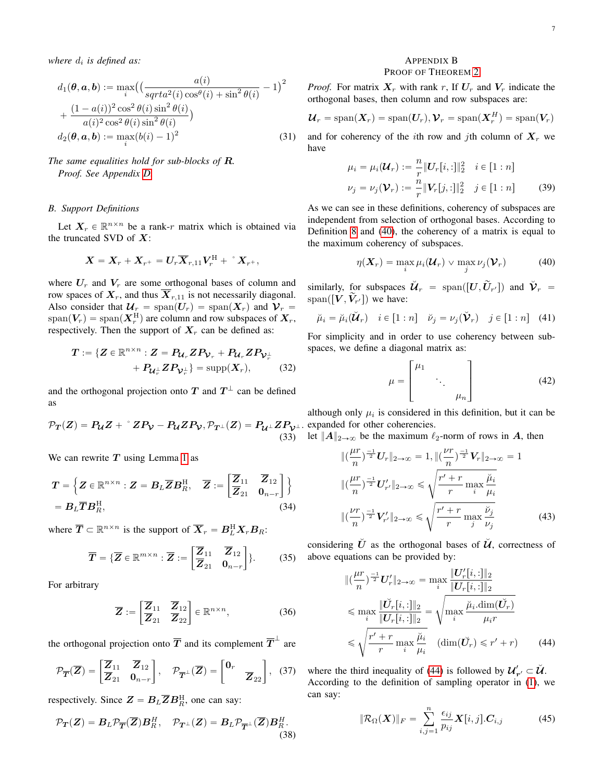where  $d_i$  is defined as:

$$
d_1(\boldsymbol{\theta}, \mathbf{a}, \mathbf{b}) := \max_i \left( \left( \frac{a(i)}{sqrt^2(i) \cos^{\theta}(i) + \sin^2 \theta(i)} - 1 \right)^2 + \frac{(1 - a(i))^2 \cos^2 \theta(i) \sin^2 \theta(i)}{a(i)^2 \cos^2 \theta(i) \sin^2 \theta(i)} \right)
$$
  

$$
d_2(\boldsymbol{\theta}, \mathbf{a}, \mathbf{b}) := \max_i (b(i) - 1)^2
$$
(31)

# *The same equalities hold for sub-blocks of* R*. Proof. See Appendix [D.](#page-10-8)*

## *B. Support Definitions*

Let  $X_r \in \mathbb{R}^{n \times n}$  be a rank-r matrix which is obtained via the truncated SVD of  $X$ :

$$
\boldsymbol{X} = \boldsymbol{X}_r + \boldsymbol{X}_{r^+} = \boldsymbol{U}_r \boldsymbol{\overline{X}}_{r,11} \boldsymbol{V}_r^{\mathrm{H}} + \mathbf{Y}_{r^+},
$$

where  $U_r$  and  $V_r$  are some orthogonal bases of column and row spaces of  $X_r$ , and thus  $\overline{X}_{r,11}$  is not necessarily diagonal. Also consider that  $\mathcal{U}_r = \text{span}(U_r) = \text{span}(X_r)$  and  $\mathcal{V}_r =$  $\text{span}(V_r) = \text{span}(X_r^{\text{H}})$  are column and row subspaces of  $X_r$ , respectively. Then the support of  $X_r$  can be defined as:

$$
T := \{ Z \in \mathbb{R}^{n \times n} : Z = P_{\mathcal{U}_r} Z P_{\mathcal{V}_r} + P_{\mathcal{U}_r} Z P_{\mathcal{V}_r^{\perp}} + P_{\mathcal{U}_r^{\perp}} Z P_{\mathcal{V}_r^{\perp}} \} = \text{supp}(X_r), \qquad (32)
$$

and the orthogonal projection onto T and  $T^{\perp}$  can be defined as

$$
\mathcal{P}_T(Z) = P_{\mathcal{U}}Z + \,^{\circ} Z P_{\mathcal{V}} - P_{\mathcal{U}} Z P_{\mathcal{V}}, \mathcal{P}_{T^{\perp}}(Z) = P_{\mathcal{U}^{\perp}} Z P_{\mathcal{V}^{\perp}}.
$$
\n(33)

We can rewrite  $T$  using Lemma [1](#page-3-2) as

$$
T = \left\{ Z \in \mathbb{R}^{n \times n} : Z = B_L \overline{Z} B_R^{\mathrm{H}}, \quad \overline{Z} := \begin{bmatrix} \overline{Z}_{11} & \overline{Z}_{12} \\ \overline{Z}_{21} & 0_{n-r} \end{bmatrix} \right\}
$$
  
=  $B_L \overline{T} B_R^{\mathrm{H}},$  (34)

where  $\overline{T} \subset \mathbb{R}^{n \times n}$  is the support of  $\overline{X}_r = B_L^H X_r B_R$ : " J

$$
\overline{T} = \{\overline{Z} \in \mathbb{R}^{m \times n} : \overline{Z} := \begin{bmatrix} \overline{Z}_{11} & \overline{Z}_{12} \\ \overline{Z}_{21} & \mathbf{0}_{n-r} \end{bmatrix} \}.
$$
 (35)

For arbitrary

$$
\overline{Z} := \begin{bmatrix} \overline{Z}_{11} & \overline{Z}_{12} \\ \overline{Z}_{21} & \overline{Z}_{22} \end{bmatrix} \in \mathbb{R}^{n \times n},
$$
 (36)

the orthogonal projection onto  $\overline{T}$  and its complement  $\overline{T}^{\perp}$  are

$$
\mathcal{P}_{\overline{T}}(\overline{Z}) = \begin{bmatrix} \overline{Z}_{11} & \overline{Z}_{12} \\ \overline{Z}_{21} & \mathbf{0}_{n-r} \end{bmatrix}, \quad \mathcal{P}_{\overline{T}}^{\perp}(\overline{Z}) = \begin{bmatrix} \mathbf{0}_r & \\ & \overline{Z}_{22} \end{bmatrix}, \quad (37)
$$

respectively. Since  $\mathbf{Z} = \mathbf{B}_L \overline{\mathbf{Z}} \mathbf{B}_R^{\text{H}}$ , one can say:

$$
\mathcal{P}_{\mathbf{T}}(\mathbf{Z}) = \mathbf{B}_{L} \mathcal{P}_{\overline{\mathbf{T}}}(\overline{\mathbf{Z}}) \mathbf{B}_{R}^{H}, \quad \mathcal{P}_{\mathbf{T}^{\perp}}(\mathbf{Z}) = \mathbf{B}_{L} \mathcal{P}_{\overline{\mathbf{T}}^{\perp}}(\overline{\mathbf{Z}}) \mathbf{B}_{R}^{H}.
$$
\n(38)

## <span id="page-6-0"></span>APPENDIX B PROOF OF THEOREM [2](#page-2-2)

## *Proof.* For matrix  $X_r$  with rank r, If  $U_r$  and  $V_r$  indicate the orthogonal bases, then column and row subspaces are:

$$
\mathcal{U}_r = \text{span}(\boldsymbol{X}_r) = \text{span}(\boldsymbol{U}_r), \boldsymbol{\mathcal{V}}_r = \text{span}(\boldsymbol{X}_r^H) = \text{span}(\boldsymbol{V}_r)
$$

and for coherency of the *i*th row and *j*th column of  $X_r$  we have

$$
\mu_i = \mu_i(\mathcal{U}_r) := \frac{n}{r} ||U_r[i, :]||_2^2 \quad i \in [1:n]
$$
  

$$
\nu_j = \nu_j(\mathcal{V}_r) := \frac{n}{r} ||V_r[j, :]||_2^2 \quad j \in [1:n]
$$
 (39)

As we can see in these definitions, coherency of subspaces are independent from selection of orthogonal bases. According to Definition [8](#page-2-5) and [\(40\)](#page-6-1), the coherency of a matrix is equal to the maximum coherency of subspaces.

<span id="page-6-1"></span>
$$
\eta(\boldsymbol{X}_r) = \max_i \mu_i(\boldsymbol{\mathcal{U}}_r) \vee \max_j \nu_j(\boldsymbol{\mathcal{V}}_r)
$$
(40)

similarly, for subspaces  $\check{\mathcal{U}}_r = \text{span}([U, \widetilde{U}_{r'}])$  and  $\check{\mathcal{V}}_r =$ span( $[V, \tilde{V}_{r'}]$ ) we have:

$$
\breve{\mu}_i = \breve{\mu}_i(\breve{\mathbf{U}}_r) \quad i \in [1:n] \quad \breve{\nu}_j = \nu_j(\breve{\mathbf{V}}_r) \quad j \in [1:n] \quad (41)
$$

For simplicity and in order to use coherency between subspaces, we define a diagonal matrix as: » fi

$$
\mu = \begin{bmatrix} \mu_1 & & \\ & \ddots & \\ & & \mu_n \end{bmatrix} \tag{42}
$$

although only  $\mu_i$  is considered in this definition, but it can be expanded for other coherencies.

let  $||A||_{2\to\infty}$  be the maximum  $\ell_2$ -norm of rows in A, then

$$
\| \left( \frac{\mu r}{n} \right)^{\frac{-1}{2}} U_r \|_{2 \to \infty} = 1, \| \left( \frac{\nu r}{n} \right)^{\frac{-1}{2}} V_r \|_{2 \to \infty} = 1
$$
  

$$
\| \left( \frac{\mu r}{n} \right)^{\frac{-1}{2}} U'_{r'} \|_{2 \to \infty} \leq \sqrt{\frac{r' + r}{r} \max_{i} \frac{\breve{\mu}_{i}}{\mu_{i}}}
$$
  

$$
\| \left( \frac{\nu r}{n} \right)^{\frac{-1}{2}} V'_{r'} \|_{2 \to \infty} \leq \sqrt{\frac{r' + r}{r} \max_{j} \frac{\breve{\nu}_{j}}{\nu_{j}}}
$$
(43)

<span id="page-6-3"></span>considering  $\check{U}$  as the orthogonal bases of  $\check{\mathcal{U}}$ , correctness of above equations can be provided by:

$$
\| \left( \frac{\mu r}{n} \right)^{\frac{-1}{2}} U'_r \|_{2 \to \infty} = \max_{i} \frac{\| U'_r [i, :] \|_2}{\| U_r [i, :] \|_2}
$$
  

$$
\leq \max_{i} \frac{\| \check{U}_r [i, :] \|_2}{\| U_r [i, :] \|_2} = \sqrt{\max_{i} \frac{\check{\mu}_i \cdot \dim(\check{U}_r)}{\mu_i r}}
$$
  

$$
\leq \sqrt{\frac{r' + r}{r} \max_{i} \frac{\check{\mu}_i}{\mu_i}} \quad (\dim(\check{U}_r) \leq r' + r) \qquad (44)
$$

where the third inequality of [\(44\)](#page-6-2) is followed by  $\mathcal{U}_{r'}' \subset \check{\mathcal{U}}$ . According to the definition of sampling operator in [\(1\)](#page-0-3), we can say:

<span id="page-6-2"></span>
$$
\|\mathcal{R}_{\Omega}(\boldsymbol{X})\|_{F} = \sum_{i,j=1}^{n} \frac{\epsilon_{ij}}{p_{ij}} \boldsymbol{X}[i,j].\boldsymbol{C}_{i,j}
$$
(45)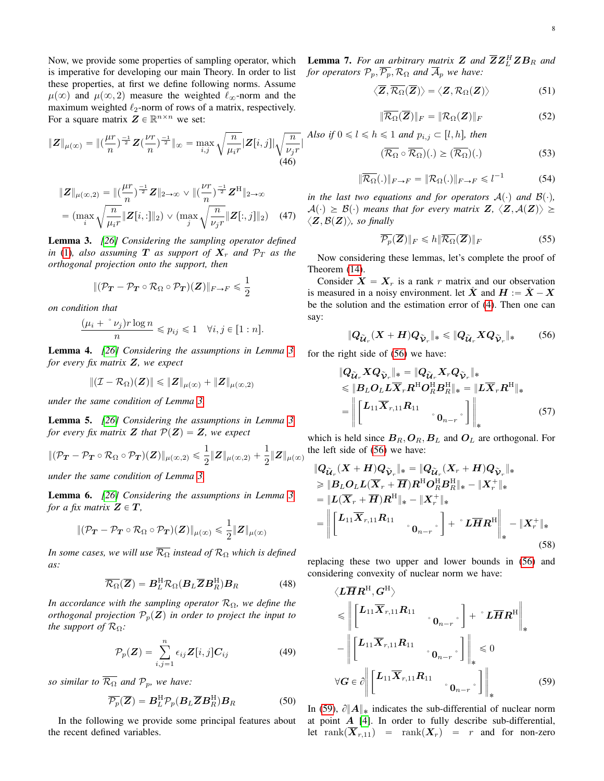Now, we provide some properties of sampling operator, which is imperative for developing our main Theory. In order to list these properties, at first we define following norms. Assume  $\mu(\infty)$  and  $\mu(\infty, 2)$  measure the weighted  $\ell_{\infty}$ -norm and the maximum weighted  $\ell_2$ -norm of rows of a matrix, respectively. For a square matrix  $\mathbf{Z} \in \mathbb{R}^{n \times n}$  we set:

$$
\|Z\|_{\mu(\infty)} = \|(\frac{\mu r}{n})^{\frac{-1}{2}} Z(\frac{\nu r}{n})^{\frac{-1}{2}}\|_{\infty} = \max_{i,j} \sqrt{\frac{n}{\mu_i r}} |Z[i,j]| \sqrt{\frac{n}{\nu_j r}}|
$$
\n(46)

$$
\|Z\|_{\mu(\infty,2)} = \|(\frac{\mu r}{n})^{\frac{-1}{2}}Z\|_{2\to\infty} \vee \|(\frac{\nu r}{n})^{\frac{-1}{2}}Z^{\mathrm{H}}\|_{2\to\infty}
$$

$$
= (\max_{i} \sqrt{\frac{n}{\mu_{i}r}} \|Z[i, :]\|_{2}) \vee (\max_{j} \sqrt{\frac{n}{\nu_{j}r}} \|Z[:, j]\|_{2}) \quad (47)
$$

<span id="page-7-0"></span>Lemma 3. *[\[26\]](#page-11-17) Considering the sampling operator defined in* [\(1\)](#page-0-3)*, also assuming*  $T$  *as support of*  $X_r$  *and*  $\mathcal{P}_T$  *as the orthogonal projection onto the support, then*

$$
\|(\mathcal{P}_{\boldsymbol{T}}-\mathcal{P}_{\boldsymbol{T}}\circ\mathcal{R}_{\Omega}\circ\mathcal{P}_{\boldsymbol{T}})(\boldsymbol{Z})\|_{F\rightarrow F}\leqslant\frac{1}{2}
$$

*on condition that*

$$
\frac{(\mu_i + \sqrt[\alpha] y) r \log n}{n} \leqslant p_{ij} \leqslant 1 \quad \forall i, j \in [1:n].
$$

Lemma 4. *[\[26\]](#page-11-17) Considering the assumptions in Lemma [3,](#page-7-0) for every fix matrix* Z*, we expect*

$$
\|(\mathcal{I}-\mathcal{R}_{\Omega})(\boldsymbol{Z})\| \leqslant \|\boldsymbol{Z}\|_{\mu(\infty)} + \|\boldsymbol{Z}\|_{\mu(\infty,2)}
$$

*under the same condition of Lemma [3.](#page-7-0)*

Lemma 5. *[\[26\]](#page-11-17) Considering the assumptions in Lemma [3,](#page-7-0) for every fix matrix* **Z** *that*  $P(Z) = Z$ *, we expect* 

$$
\|(\mathcal{P}_{\mathbf{T}}-\mathcal{P}_{\mathbf{T}}\circ\mathcal{R}_{\Omega}\circ\mathcal{P}_{\mathbf{T}})(\mathbf{Z})\|_{\mu(\infty,2)}\leqslant \frac{1}{2}\|\mathbf{Z}\|_{\mu(\infty,2)}+\frac{1}{2}\|\mathbf{Z}\|_{\mu(\infty)}
$$

*under the same condition of Lemma [3.](#page-7-0)*

Lemma 6. *[\[26\]](#page-11-17) Considering the assumptions in Lemma [3,](#page-7-0) for a fix matrix*  $Z \in T$ *,* 

$$
\|(\mathcal{P}_{\boldsymbol{T}}-\mathcal{P}_{\boldsymbol{T}}\circ\mathcal{R}_{\Omega}\circ\mathcal{P}_{\boldsymbol{T}})(\boldsymbol{Z})\|_{\mu(\infty)}\leqslant\frac{1}{2}\|\boldsymbol{Z}\|_{\mu(\infty)}
$$

*In some cases, we will use*  $\overline{\mathcal{R}_{\Omega}}$  *instead of*  $\mathcal{R}_{\Omega}$  *which is defined as:*

$$
\overline{\mathcal{R}_{\Omega}}(\overline{Z}) = B_L^{\rm H} \mathcal{R}_{\Omega} (B_L \overline{Z} B_R^{\rm H}) B_R \tag{48}
$$

*In accordance with the sampling operator*  $\mathcal{R}_{\Omega}$ *, we define the orthogonal projection*  $P_p(Z)$  *in order to project the input to the support of*  $\mathcal{R}_{\Omega}$ *:* 

$$
\mathcal{P}_p(\mathbf{Z}) = \sum_{i,j=1}^n \epsilon_{ij} \mathbf{Z}[i,j] \mathbf{C}_{ij} \tag{49}
$$

*so similar to*  $\overline{\mathcal{R}_{\Omega}}$  *and*  $\mathcal{P}_p$ *, we have:* 

$$
\overline{\mathcal{P}_p}(\overline{Z}) = \boldsymbol{B}_L^{\mathrm{H}} \mathcal{P}_p(\boldsymbol{B}_L \overline{Z} \boldsymbol{B}_R^{\mathrm{H}}) \boldsymbol{B}_R \tag{50}
$$

In the following we provide some principal features about the recent defined variables.

**Lemma 7.** For an arbitrary matrix **Z** and  $\overline{ZZ}_{L}^{H}ZB_{R}$  and *for operators*  $\mathcal{P}_p$ ,  $\overline{\mathcal{P}_p}$ ,  $\mathcal{R}_{\Omega}$  *and*  $\overline{\mathcal{A}}_p$  *we have:* 

$$
\langle \overline{Z}, \overline{\mathcal{R}_{\Omega}}(\overline{Z}) \rangle = \langle Z, \mathcal{R}_{\Omega}(Z) \rangle \tag{51}
$$

$$
\|\overline{\mathcal{R}_{\Omega}}(\overline{Z})\|_{F} = \|\mathcal{R}_{\Omega}(Z)\|_{F}
$$
 (52)

*Also if*  $0 \le l \le h \le 1$  *and*  $p_{i,j} \subset [l, h]$ *, then* 

$$
(\overline{\mathcal{R}_{\Omega}} \circ \overline{\mathcal{R}_{\Omega}})(.) \ge (\overline{\mathcal{R}_{\Omega}})(.)
$$
 (53)

$$
\|\overline{\mathcal{R}_{\Omega}}(.)\|_{F \to F} = \|\mathcal{R}_{\Omega}(.)\|_{F \to F} \leq l^{-1}
$$
 (54)

*in the last two equations and for operators*  $A(\cdot)$  *and*  $B(\cdot)$ *,*  $A(\cdot) \geq \mathcal{B}(\cdot)$  means that for every matrix  $\mathbf{Z}, \langle \mathbf{Z}, \mathcal{A}(\mathbf{Z}) \rangle \geq$  $\langle \mathbf{Z}, \mathcal{B}(\mathbf{Z}) \rangle$ *, so finally* 

<span id="page-7-1"></span>
$$
\overline{\mathcal{P}_p}(\overline{Z})\|_F \leq h \|\overline{\mathcal{R}_\Omega}(\overline{Z})\|_F \tag{55}
$$

Now considering these lemmas, let's complete the proof of Theorem [\(14\)](#page-2-4).

Consider  $X = X_r$  is a rank r matrix and our observation is measured in a noisy environment. let X and  $H := X - X$ be the solution and the estimation error of [\(4\)](#page-0-1). Then one can say:

$$
||Q_{\widetilde{\mathcal{U}}_r}(X+H)Q_{\widetilde{\mathcal{V}}_r}||_* \leq ||Q_{\widetilde{\mathcal{U}}_r}XQ_{\widetilde{\mathcal{V}}_r}||_* \qquad (56)
$$

for the right side of [\(56\)](#page-7-1) we have:

$$
\|Q_{\widetilde{U}_r} X Q_{\widetilde{V}_r}\|_{*} = \|Q_{\widetilde{U}_r} X_r Q_{\widetilde{V}_r}\|_{*}
$$
  
\$\leq\$ 
$$
||B_L O_L L \overline{X}_r R^{\mathrm{H}} O_R^{\mathrm{H}} B_R^{\mathrm{H}}\|_{*} = ||L \overline{X}_r R^{\mathrm{H}}||_{*}
$$
  
= 
$$
\left\| \begin{bmatrix} L_{11} \overline{X}_{r,11} R_{11} & 0 & 0_{n-r} \end{bmatrix} \right\|_{*}
$$
 (57)

which is held since  $B_R$ ,  $O_R$ ,  $B_L$  and  $O_L$  are orthogonal. For the left side of [\(56\)](#page-7-1) we have:

}QU<sup>r</sup> <sup>r</sup> pX ` HqQV<sup>r</sup> <sup>r</sup> }˚ " }QU<sup>r</sup> <sup>r</sup> pX<sup>r</sup> ` HqQV<sup>r</sup> <sup>r</sup> }˚ ě }BLOLLpX<sup>r</sup> ` HqRHO<sup>H</sup> RB<sup>H</sup> <sup>R</sup>}˚ ´ }X` r }˚ " }LpX<sup>r</sup> ` HqRH}˚ ´ }X` r }˚ " › › " L11Xr,11R<sup>11</sup> ˚0<sup>n</sup>´<sup>r</sup>˚ ` ˚LHR<sup>H</sup> › ˚ ´ }X` r }˚ (58)

<span id="page-7-3"></span>replacing these two upper and lower bounds in [\(56\)](#page-7-1) and considering convexity of nuclear norm we have:

<span id="page-7-2"></span>
$$
\langle L\overline{H}R^{H}, G^{H}\rangle
$$
  
\n
$$
\leq \left\| \begin{bmatrix} L_{11}\overline{X}_{r,11}R_{11} & \cdots & 0_{n-r} \end{bmatrix} + \begin{bmatrix} L\overline{H}R^{H} \\ \vdots & \vdots \end{bmatrix} \right\|_{*}
$$
  
\n
$$
- \left\| \begin{bmatrix} L_{11}\overline{X}_{r,11}R_{11} & \cdots & 0_{n-r} \end{bmatrix} \right\|_{*} \leq 0
$$
  
\n
$$
\forall G \in \partial \left\| \begin{bmatrix} L_{11}\overline{X}_{r,11}R_{11} & \cdots & 0_{n-r} \end{bmatrix} \right\|_{*}
$$
 (59)

<span id="page-7-4"></span>In [\(59\)](#page-7-2),  $\partial ||A||_*$  indicates the sub-differential of nuclear norm at point  $A$  [\[4\]](#page-10-3). In order to fully describe sub-differential, let rank $(\overline{X}_{r,11})$  = rank $(X_r)$  = r and for non-zero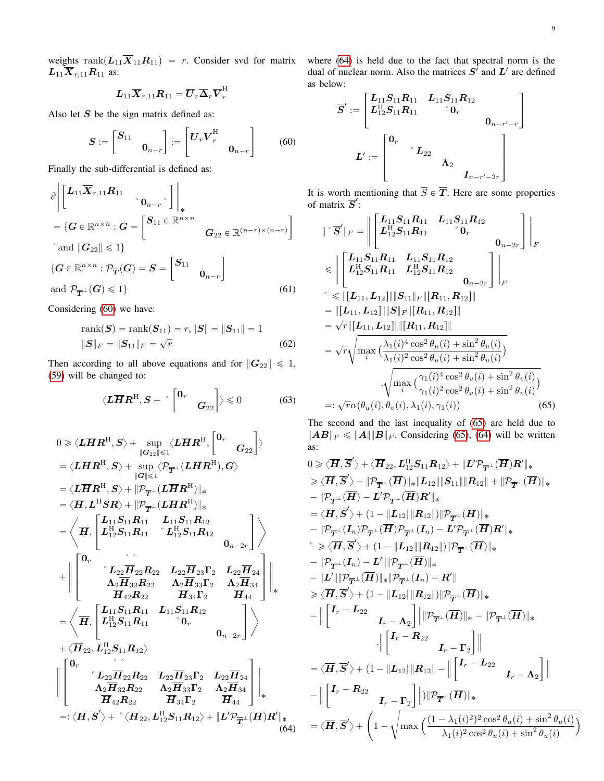weights rank $(L_{11}X_{11}R_{11}) = r$ . Consider svd for matrix where [\(64\)](#page-8-1) is held due to the fact that spectral norm is the  $L_{11}\overline{X}_{r,11}R_{11}$  as:

$$
\bm{L}_{11}\overline{\bm{X}}_{r,11}\bm{R}_{11}=\overline{\bm{U}}_{r}\overline{\bm{\Delta}}_{r}\overline{\bm{V}}_{r}^{\rm H}
$$

Also let  $S$  be the sign matrix defined as: «

$$
\boldsymbol{S} := \begin{bmatrix} \boldsymbol{S}_{11} & & \\ & \boldsymbol{0}_{n-r} \end{bmatrix} := \begin{bmatrix} \boldsymbol{\overline{U}}_r \boldsymbol{\overline{V}}_r^{\mathrm{H}} & & \\ & \boldsymbol{0}_{n-r} \end{bmatrix} \tag{60}
$$

Finally the sub-differential is defined as:

$$
\partial \left\| \begin{bmatrix} L_{11} \overline{X}_{r,11} R_{11} & \cdots & 0_{n-r} \end{bmatrix} \right\|_{*}
$$
\n
$$
= \{ G \in \mathbb{R}^{n \times n} : G = \begin{bmatrix} S_{11} \in \mathbb{R}^{n \times n} \\ G_{22} \in \mathbb{R}^{(n-r) \times (n-r)} \end{bmatrix}
$$
\n
$$
\text{and } \left\| G_{22} \right\| \leq 1 \}
$$
\n
$$
\{ G \in \mathbb{R}^{n \times n} : \mathcal{P}_{\overline{T}}(G) = S = \begin{bmatrix} S_{11} & 0 \\ 0_{n-r} \end{bmatrix}
$$
\n
$$
\text{and } \mathcal{P}_{\overline{T}} \perp (G) \leq 1 \}
$$
\n
$$
(61)
$$

Considering [\(60\)](#page-8-0) we have:

$$
rank(S) = rank(S_{11}) = r, ||S|| = ||S_{11}|| = 1
$$
  
 
$$
||S||_F = ||S_{11}||_F = \sqrt{r}
$$
 (62)

Then according to all above equations and for  $||G_{22}|| \le 1$ , [\(59\)](#page-7-2) will be changed to: "

$$
\langle L\overline{H}R^{H}, S + \left[ \begin{matrix} 0_{r} & \\ & G_{22} \end{matrix} \right] \rangle \leq 0 \qquad (63)
$$

$$
0 \ge \langle L\overline{H}R^{H}, S \rangle + \sup_{\|\mathcal{G}_{22}\| \le 1} \langle L\overline{H}R^{H}, \begin{bmatrix} 0_{r} \\ 0_{r} \end{bmatrix} \rangle
$$
  
\n
$$
= \langle L\overline{H}R^{H}, S \rangle + \sup_{\|\mathcal{G}\| \le 1} \langle \mathcal{P}_{\overline{T}^{\perp}}(L\overline{H}R^{H}), G \rangle
$$
  
\n
$$
= \langle L\overline{H}R^{H}, S \rangle + \| \mathcal{P}_{\overline{T}^{\perp}}(L\overline{H}R^{H}) \|_{*}
$$
  
\n
$$
= \langle \overline{H}, L^{H}SR \rangle + \| \mathcal{P}_{\overline{T}^{\perp}}(L\overline{H}R^{H}) \|_{*}
$$
  
\n
$$
= \langle \overline{H}, \begin{bmatrix} L_{11}S_{11}R_{11} & L_{11}S_{11}R_{12} \\ L_{12}^{H}S_{11}R_{11} & L_{11}S_{11}R_{12} \\ L_{22}^{H}R_{22} & L_{22}\overline{H}_{23}\Gamma_{2} & L_{22}\overline{H}_{24} \\ \Lambda_{2}\overline{H}_{32}R_{22} & \Lambda_{2}\overline{H}_{33}\Gamma_{2} & \Lambda_{2}\overline{H}_{34} \\ \overline{H}_{42}R_{22} & \overline{H}_{34}\Gamma_{2} \end{bmatrix} \rangle_{*}
$$
  
\n
$$
+ \langle \overline{H}, \begin{bmatrix} L_{11}S_{11}R_{11} & L_{11}S_{11}R_{12} \\ L_{12}^{H}S_{11}R_{11} & 0_{r} \\ L_{12}^{H}S_{11}R_{12} \rangle \\ \overline{H}_{42}R_{22} & \overline{H}_{23}\Gamma_{2} & L_{22}\overline{H}_{24} \\ \Lambda_{2}\overline{H}_{32}R_{22} & \Lambda_{2}\overline{H}_{33}\Gamma_{2} & \Lambda_{2}\overline{H}_{34} \\ \Lambda_{2}\overline{H}_{32}R_{22} & \Lambda_{2}\overline{H}_{33}\Gamma_{2} & \Lambda_{2}\overline{H}_{34} \\ \
$$

dual of nuclear norm. Also the matrices  $S'$  and  $L'$  are defined as below: » fi

$$
\overline{S}':=\begin{bmatrix} L_{11}S_{11}R_{11} & L_{11}S_{11}R_{12} \\ L_{12}^{\mathrm{H}}S_{11}R_{11} & ^{\circ}0_{r} & & \\ & & 0_{n-r'-r} \end{bmatrix}\\
$$

$$
L':=\begin{bmatrix} 0_{r} & & \\ & ^{\circ}L_{22} & & \\ & & \Lambda_{2} & \\ & & & I_{n-r'-2r} \end{bmatrix}
$$

<span id="page-8-0"></span>It is worth mentioning that  $\overline{S} \in \overline{T}$ . Here are some properties of matrix  $\overline{S}'$ : » fi

$$
\|\mathbf{v}\overrightarrow{S}'\|_{F} = \left\|\begin{bmatrix} L_{11}S_{11}R_{11} & L_{11}S_{11}R_{12} \\ L_{12}^{H}S_{11}R_{11} & \mathbf{v}_{0_{r}} \\ L_{12}^{H}S_{11}R_{11} & L_{11}S_{11}R_{12} \\ \leq \left\|\begin{bmatrix} L_{11}S_{11}R_{11} & L_{11}S_{11}R_{12} \\ L_{12}^{H}S_{11}R_{11} & L_{12}^{H}S_{11}R_{12} \\ \vdots \\ \end{bmatrix}\right\|_{F} \\ \leq \left\|\begin{bmatrix} L_{11}, L_{12}\right]\|\mathbf{S}_{11}\|_{F}\|[R_{11}, R_{12}]\| \\ = \left\|\begin{bmatrix} L_{11}, L_{12}\right]\|\mathbf{S}\|_{F}\|[R_{11}, R_{12}]\| \\ = \sqrt{r}\|[L_{11}, L_{12}\right]\|\mathbf{R}_{11}, R_{12}\| \end{bmatrix} \\ = \sqrt{r}\sqrt{\max_{i}(\frac{\lambda_{1}(i)^{4}\cos^{2}\theta_{u}(i) + \sin^{2}\theta_{u}(i)}{\lambda_{1}(i)^{2}\cos^{2}\theta_{u}(i) + \sin^{2}\theta_{u}(i)})} \\ \cdot \sqrt{\max_{i}(\frac{\gamma_{1}(i)^{4}\cos^{2}\theta_{v}(i) + \sin^{2}\theta_{v}(i)}{\gamma_{1}(i)^{2}\cos^{2}\theta_{v}(i) + \sin^{2}\theta_{v}(i)})} \\ =: \sqrt{r}\alpha(\theta_{u}(i), \theta_{v}(i), \lambda_{1}(i), \gamma_{1}(i)) \qquad (65)
$$

<span id="page-8-2"></span>The second and the last inequality of [\(65\)](#page-8-2) are held due to  $||AB||_F \le ||A|| ||B||_F$ . Considering [\(65\)](#page-8-2), [\(64\)](#page-8-1) will be written as:

<span id="page-8-1"></span>
$$
0 \geq \langle \overline{H}, \overline{S}' \rangle + \langle \overline{H}_{22}, L_{12}^{H}S_{11}R_{12} \rangle + \|L'\mathcal{P}_{\overline{T}^{\perp}}(\overline{H})R'\|_{*} \n\geq \langle \overline{H}, \overline{S}' \rangle - \| \mathcal{P}_{\overline{T}^{\perp}}(\overline{H}) \|_{*} \|L_{12} \| \| S_{11} \| \| R_{12} \| + \| \mathcal{P}_{\overline{T}^{\perp}}(\overline{H}) \|_{*} \n- \| \mathcal{P}_{\overline{T}^{\perp}}(\overline{H}) - L'\mathcal{P}_{\overline{T}^{\perp}}(\overline{H})R' \|_{*} \n= \langle \overline{H}, \overline{S}' \rangle + (1 - \|L_{12} \| \| R_{12} \|) \| \mathcal{P}_{\overline{T}^{\perp}}(\overline{H}) \|_{*} \n- \| \mathcal{P}_{\overline{T}^{\perp}}(I_{n}) \mathcal{P}_{\overline{T}^{\perp}}(I_{n}) - L'\mathcal{P}_{\overline{T}^{\perp}}(\overline{H}) R' \|_{*} \n\geq \langle \overline{H}, \overline{S}' \rangle + (1 - \|L_{12} \| \| R_{12} \|) \| \mathcal{P}_{\overline{T}^{\perp}}(\overline{H}) \|_{*} \n- \| \mathcal{P}_{\overline{T}^{\perp}}(I_{n}) - L' \| \| \mathcal{P}_{\overline{T}^{\perp}}(I_{n}) - R' \| \n\geq \langle \overline{H}, \overline{S}' \rangle + (1 - \|L_{12} \| \| R_{12} \|) \| \mathcal{P}_{\overline{T}^{\perp}}(\overline{H}) \|_{*} \n- \|L'\| \| \mathcal{P}_{\overline{T}^{\perp}}(\overline{H}) \|_{*} \| \mathcal{P}_{\overline{T}^{\perp}}(I_{n}) - R' \| \n\geq \langle \overline{H}, \overline{S}' \rangle + (1 - \|L_{12} \| \| R_{12} \|) \| \mathcal{P}_{\overline{T}^{\perp}}(\overline{H}) \|_{*} \n- \| \begin{bmatrix} I_{r} - L_{22} & I_{r} - \Lambda_{2} \end{bmatrix} \| \| \mathcal{P}_{
$$

 $\overline{a}$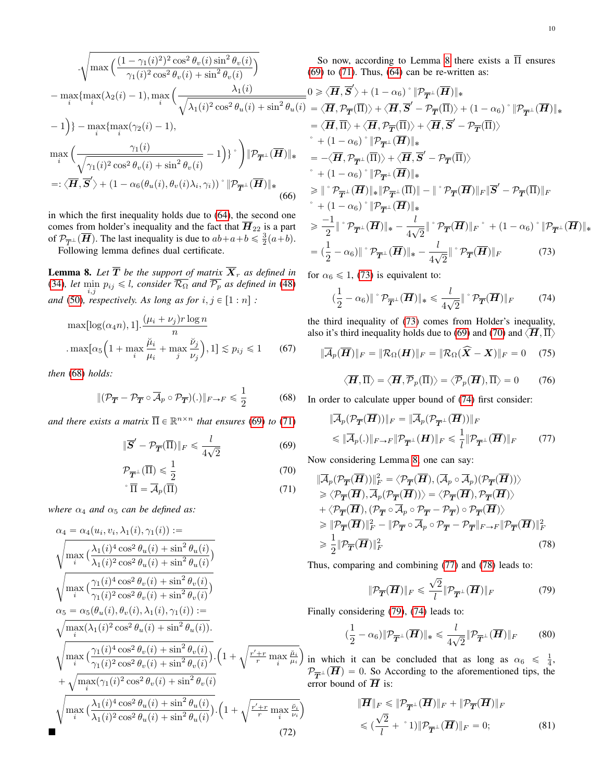$$
\sqrt{\max_{i} \left( \frac{(1 - \gamma_1(i)^2)^2 \cos^2 \theta_v(i) \sin^2 \theta_v(i)}{\gamma_1(i)^2 \cos^2 \theta_v(i) + \sin^2 \theta_v(i)} \right)}
$$
\n
$$
- \max_{i} \{\max_{i} (\lambda_2(i) - 1), \max_{i} \left( \frac{\lambda_1(i)}{\sqrt{\lambda_1(i)^2 \cos^2 \theta_u(i) + \sin^2 \theta_u(i)}} \right)
$$
\n
$$
= -1 \}
$$
\n
$$
+ \max_{i} \{\max_{i} (\gamma_2(i) - 1),
$$
\n
$$
= \max_{i} \left( \frac{\gamma_1(i)}{\sqrt{\gamma_1(i)^2 \cos^2 \theta_v(i) + \sin^2 \theta_v(i)}} - 1 \right) \} \cdot \left| \mathcal{P}_{\overline{T}} \perp (\overline{H}) \right|_*
$$
\n
$$
=: \langle \overline{H}, \overline{S}' \rangle + (1 - \alpha_6(\theta_u(i), \theta_v(i)\lambda_i, \gamma_i)) \cdot \left| \mathcal{P}_{\overline{T}} \perp (\overline{H}) \right|_*
$$
\n(66)

in which the first inequality holds due to [\(64\)](#page-8-1), the second one comes from holder's inequality and the fact that  $\overline{H}_{22}$  is a part of  $\mathcal{P}_{\overline{T}^{\perp}}(\overline{H})$ . The last inequality is due to  $ab+a+b \leq \frac{3}{2}(a+b)$ . Following lemma defines dual certificate.

<span id="page-9-3"></span>**Lemma 8.** Let  $T$  be the support of matrix  $X_r$  as defined in [\(34\)](#page-6-3), let  $\min_{i,j} p_{ij} \leq l$ , consider  $\overline{\mathcal{R}_{\Omega}}$  and  $\overline{\mathcal{P}_p}$  as defined in [\(48\)](#page-7-3) *and* [\(50\)](#page-7-4)*, respectively. As long as for*  $i, j \in [1:n]$  :

$$
\max[\log(\alpha_4 n), 1]. \frac{(\mu_i + \nu_j)r \log n}{n}
$$

$$
\cdot \max[\alpha_5 \left(1 + \max_i \frac{\breve{\mu}_i}{\mu_i} + \max_j \frac{\breve{\nu}_j}{\nu_j}\right), 1] \lesssim p_{ij} \le 1
$$
 (67)

*then* [\(68\)](#page-9-0) *holds:*

$$
\|(\mathcal{P}_{\overline{T}} - \mathcal{P}_{\overline{T}} \circ \overline{\mathcal{A}}_p \circ \mathcal{P}_{\overline{T}})(.)\|_{F \to F} \leq \frac{1}{2}
$$
 (68)

*and there exists a matrix*  $\overline{\Pi} \in \mathbb{R}^{n \times n}$  *that ensures* [\(69\)](#page-9-1) *to* [\(71\)](#page-9-2)

$$
\|\overline{S}' - \mathcal{P}_{\overline{T}}(\overline{\Pi})\|_{F} \leq \frac{l}{4\sqrt{2}}\tag{69}
$$

$$
\mathcal{P}_{\overline{T}^{\perp}}(\overline{\Pi}) \le \frac{1}{2}
$$
\n
$$
\overline{\Pi} = \overline{\mathcal{A}}_p(\overline{\Pi})
$$
\n(70)\n(71)

*where*  $\alpha_4$  *and*  $\alpha_5$  *can be defined as:* 

$$
\alpha_4 = \alpha_4(u_i, v_i, \lambda_1(i), \gamma_1(i)) :=
$$
\n
$$
\sqrt{\max_i \left( \frac{\lambda_1(i)^4 \cos^2 \theta_u(i) + \sin^2 \theta_u(i)}{\lambda_1(i)^2 \cos^2 \theta_u(i) + \sin^2 \theta_u(i)} \right)}
$$
\n
$$
\sqrt{\max_i \left( \frac{\gamma_1(i)^4 \cos^2 \theta_v(i) + \sin^2 \theta_v(i)}{\gamma_1(i)^2 \cos^2 \theta_v(i) + \sin^2 \theta_v(i)} \right)}
$$
\n
$$
\alpha_5 = \alpha_5(\theta_u(i), \theta_v(i), \lambda_1(i), \gamma_1(i)) :=
$$
\n
$$
\sqrt{\max_i (\lambda_1(i)^2 \cos^2 \theta_u(i) + \sin^2 \theta_u(i))}
$$
\n
$$
\sqrt{\max_i \left( \frac{\gamma_1(i)^4 \cos^2 \theta_v(i) + \sin^2 \theta_v(i)}{\gamma_1(i)^2 \cos^2 \theta_v(i) + \sin^2 \theta_v(i)} \right)} \cdot \left( 1 + \sqrt{\frac{r' + r}{r} \max_i \frac{\mu_i}{\mu_i}} \right)
$$
\n
$$
+ \sqrt{\max_i (\gamma_1(i)^2 \cos^2 \theta_v(i) + \sin^2 \theta_v(i)} \right) \cdot \left( 1 + \sqrt{\frac{r' + r}{r} \max_i \frac{\mu_i}{\mu_i}} \right)
$$
\n
$$
\sqrt{\max_i \left( \frac{\lambda_1(i)^4 \cos^2 \theta_u(i) + \sin^2 \theta_u(i)}{\lambda_1(i)^2 \cos^2 \theta_u(i) + \sin^2 \theta_u(i)} \right)} \cdot \left( 1 + \sqrt{\frac{r' + r}{r} \max_i \frac{\nu_i}{\nu_i}} \right)
$$
\n(72)

So now, according to Lemma [8](#page-9-3) there exists a  $\overline{\Pi}$  ensures  $(9)$  to  $(71)$ . Thus,  $(64)$  can be re-written as:

$$
0 \geq \langle \overline{H}, \overline{S}' \rangle + (1 - \alpha_6)^{\circ} \| \mathcal{P}_{\overline{T}^{\perp}}(\overline{H}) \|_{*}
$$
\n
$$
= \langle \overline{H}, \mathcal{P}_{\overline{T}}(\overline{\Pi}) \rangle + \langle \overline{H}, \overline{S}' - \mathcal{P}_{\overline{T}}(\overline{\Pi}) \rangle + (1 - \alpha_6)^{\circ} \| \mathcal{P}_{\overline{T}^{\perp}}(\overline{H}) \|_{*}
$$
\n
$$
= \langle \overline{H}, \overline{\Pi} \rangle + \langle \overline{H}, \mathcal{P}_{\overline{T}}(\overline{\Pi}) \rangle + \langle \overline{H}, \overline{S}' - \mathcal{P}_{\overline{T}}(\overline{\Pi}) \rangle
$$
\n
$$
+ (1 - \alpha_6)^{\circ} \| \mathcal{P}_{\overline{T}^{\perp}}(\overline{H}) \|_{*}
$$
\n
$$
= -\langle \overline{H}, \mathcal{P}_{\overline{T}^{\perp}}(\overline{\Pi}) \rangle + \langle \overline{H}, \overline{S}' - \mathcal{P}_{\overline{T}}(\overline{\Pi}) \rangle
$$
\n
$$
+ (1 - \alpha_6)^{\circ} \| \mathcal{P}_{\overline{T}^{\perp}}(\overline{H}) \|_{*}
$$
\n
$$
\geq \| \,^{\circ} \mathcal{P}_{\overline{T}^{\perp}}(\overline{H}) \|_{*} \| \mathcal{P}_{\overline{T}^{\perp}}(\overline{\Pi}) \| - \| \,^{\circ} \mathcal{P}_{\overline{T}}(\overline{H}) \|_{F} \| \overline{S}' - \mathcal{P}_{\overline{T}}(\overline{\Pi}) \|_{F}
$$
\n
$$
+ (1 - \alpha_6)^{\circ} \| \mathcal{P}_{\overline{T}^{\perp}}(\overline{H}) \|_{*}
$$
\n
$$
\geq \frac{-1}{2} \| \,^{\circ} \mathcal{P}_{\overline{T}^{\perp}}(\overline{H}) \|_{*} - \frac{l}{4\sqrt{2}} \| \,^{\circ} \mathcal{P}_{\overline{T}}(\overline{H}) \|_{F} \,^{\circ} + (1 - \alpha_6)^{\circ} \| \mathcal{P}_{\overline{T}^{\perp}}(\overline{H}) \|_{*}
$$
\n
$$
= (\frac{1}{
$$

for  $\alpha_6 \leq 1$ , [\(73\)](#page-9-4) is equivalent to:

<span id="page-9-6"></span><span id="page-9-4"></span>
$$
\left(\frac{1}{2} - \alpha_6\right) \|\degree \mathcal{P}_{\overline{T}^\perp}(\overline{H})\|_* \leq \frac{l}{4\sqrt{2}} \|\degree \mathcal{P}_{\overline{T}}(\overline{H})\|_F \tag{74}
$$

the third inequality of [\(73\)](#page-9-4) comes from Holder's inequality, also it's third inequality holds due to [\(69\)](#page-9-1) and [\(70\)](#page-9-5) and  $\langle H, \overline{\Pi} \rangle$ 

$$
\|\overline{\mathcal{A}}_p(\overline{\boldsymbol{H}})\|_F = \|\mathcal{R}_{\Omega}(\boldsymbol{H})\|_F = \|\mathcal{R}_{\Omega}(\widehat{\boldsymbol{X}} - \boldsymbol{X})\|_F = 0 \quad (75)
$$

<span id="page-9-7"></span>
$$
\langle \overline{H}, \overline{\Pi} \rangle = \langle \overline{H}, \overline{\mathcal{P}}_p(\overline{\Pi}) \rangle = \langle \overline{\mathcal{P}}_p(\overline{H}), \overline{\Pi} \rangle = 0 \qquad (76)
$$

<span id="page-9-0"></span>In order to calculate upper bound of [\(74\)](#page-9-6) first consider:

$$
\|\overline{\mathcal{A}}_p(\mathcal{P}_{\overline{T}}(\overline{H}))\|_F = \|\overline{\mathcal{A}}_p(\mathcal{P}_{\overline{T}^\perp}(\overline{H}))\|_F
$$
  
\$\leq \|\overline{\mathcal{A}}\_p(.)\|\_{F \to F} \|\mathcal{P}\_{\overline{T}^\perp}(\overline{H})\|\_F \leq \frac{1}{l} \|\mathcal{P}\_{\overline{T}^\perp}(\overline{H})\|\_F \qquad (77)\$

<span id="page-9-5"></span><span id="page-9-2"></span><span id="page-9-1"></span>Now considering Lemma [8,](#page-9-3) one can say:

$$
\|\overline{\mathcal{A}}_{p}(\mathcal{P}_{\overline{T}}(\overline{H}))\|_{F}^{2} = \langle \mathcal{P}_{\overline{T}}(\overline{H}), (\overline{\mathcal{A}}_{p} \circ \overline{\mathcal{A}}_{p})(\mathcal{P}_{\overline{T}}(\overline{H}))) \rangle \n\geq \langle \mathcal{P}_{\overline{T}}(\overline{H}), \overline{\mathcal{A}}_{p}(\mathcal{P}_{\overline{T}}(\overline{H}))) \rangle = \langle \mathcal{P}_{\overline{T}}(\overline{H}), \mathcal{P}_{\overline{T}}(\overline{H})) \rangle \n+ \langle \mathcal{P}_{\overline{T}}(\overline{H}), (\mathcal{P}_{\overline{T}} \circ \overline{\mathcal{A}}_{p} \circ \mathcal{P}_{\overline{T}} - \mathcal{P}_{\overline{T}}) \circ \mathcal{P}_{\overline{T}}(\overline{H}) \rangle \n\geq \|\mathcal{P}_{\overline{T}}(\overline{H})\|_{F}^{2} - \|\mathcal{P}_{\overline{T}} \circ \overline{\mathcal{A}}_{p} \circ \mathcal{P}_{\overline{T}} - \mathcal{P}_{\overline{T}}\|_{F \to F} \|\mathcal{P}_{\overline{T}}(\overline{H})\|_{F}^{2} \n\geq \frac{1}{2} \|\mathcal{P}_{\overline{T}}(\overline{H})\|_{F}^{2}
$$
\n(78)

Thus, comparing and combining [\(77\)](#page-9-7) and [\(78\)](#page-9-8) leads to:

<span id="page-9-9"></span><span id="page-9-8"></span>
$$
\|\mathcal{P}_{\overline{T}}(\overline{H})\|_{F} \leqslant \frac{\sqrt{2}}{l} \|\mathcal{P}_{\overline{T}^{\perp}}(\overline{H})\|_{F} \tag{79}
$$

Finally considering [\(79\)](#page-9-9), [\(74\)](#page-9-6) leads to:

$$
\left(\frac{1}{2} - \alpha_6\right) \|\mathcal{P}_{\overline{T}^\perp}(\overline{H})\|_* \leq \frac{l}{4\sqrt{2}} \|\mathcal{P}_{\overline{T}^\perp}(\overline{H})\|_F \qquad (80)
$$

in which it can be concluded that as long as  $\alpha_6 \leq \frac{1}{4}$ ,  $\mathcal{P}_{\overline{T}^{\perp}}(\mathbf{H}) = 0$ . So According to the aforementioned tips, the error bound of  $\overline{H}$  is:

$$
\|\overline{H}\|_{F} \leqslant \|\mathcal{P}_{\overline{T}^{\perp}}(\overline{H})\|_{F} + \|\mathcal{P}_{\overline{T}}(\overline{H})\|_{F}
$$
  

$$
\leqslant \left(\frac{\sqrt{2}}{l} + \degree 1\right) \|\mathcal{P}_{\overline{T}^{\perp}}(\overline{H})\|_{F} = 0; \tag{81}
$$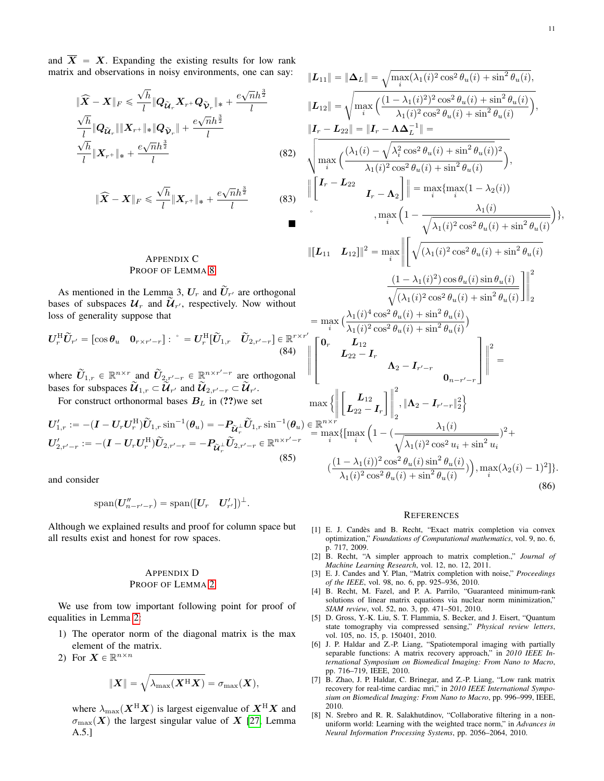and  $\overline{X} = X$ . Expanding the existing results for low rank matrix and observations in noisy environments, one can say:

$$
\|\widehat{\mathbf{X}} - \mathbf{X}\|_{F} \leq \frac{\sqrt{h}}{l} \|Q_{\widetilde{\mathbf{U}}_{r}} \mathbf{X}_{r} + Q_{\widetilde{\mathbf{V}}_{r}}\|_{*} + \frac{e\sqrt{n}h^{\frac{3}{2}}}{l} \n\frac{\sqrt{h}}{l} \|Q_{\widetilde{\mathbf{U}}_{r}}\| \| \mathbf{X}_{r} + \|_{*} \|Q_{\widetilde{\mathbf{V}}_{r}}\| + \frac{e\sqrt{n}h^{\frac{3}{2}}}{l} \n\frac{\sqrt{h}}{l} \| \mathbf{X}_{r} + \|_{*} + \frac{e\sqrt{n}h^{\frac{3}{2}}}{l}
$$
\n(82)

$$
\|\widehat{\boldsymbol{X}} - \boldsymbol{X}\|_{F} \leq \frac{\sqrt{h}}{l} \|\boldsymbol{X}_{r^{+}}\|_{*} + \frac{e\sqrt{n}h^{\frac{3}{2}}}{l}
$$
(83)

## APPENDIX C PROOF OF LEMMA [8](#page-9-3)

As mentioned in the Lemma 3,  $U_r$  and  $\tilde{U}_{r'}$  are orthogonal bases of subspaces  $\mathcal{U}_r$  and  $\widetilde{\mathcal{U}}_{r'}$ , respectively. Now without loss of generality suppose that

$$
\boldsymbol{U}_r^{\mathrm{H}} \widetilde{\boldsymbol{U}}_{r'} = \begin{bmatrix} \cos \theta_u & \mathbf{0}_{r \times r'-r} \end{bmatrix} : \begin{bmatrix} \tilde{C} & \tilde{C} \end{bmatrix}_{r} = \boldsymbol{U}_r^{\mathrm{H}} \begin{bmatrix} \tilde{U}_{1,r} & \tilde{U}_{2,r'-r} \end{bmatrix} \in \mathbb{R}^{r \times r}
$$
\n(84)

where  $\widetilde{U}_{1,r} \in \mathbb{R}^{n \times r}$  and  $\widetilde{U}_{2,r'-r} \in \mathbb{R}^{n \times r'-r}$  are orthogonal bases for subspaces  $\widetilde{\mathcal{U}}_{1,r} \subset \widetilde{\mathcal{U}}_{r'}$  and  $\widetilde{\mathcal{U}}_{2,r'-r} \subset \widetilde{\mathcal{U}}_{r'}$ .

For construct orthonormal bases  $B_L$  in (??)we set

$$
U'_{1,r} := -(I - U_r U_r^{\mathrm{H}}) \tilde{U}_{1,r} \sin^{-1}(\theta_u) = -P_{\tilde{\mathcal{U}}_r^{\perp}} \tilde{U}_{1,r} \sin^{-1}(\theta_u) \in \mathbb{R}
$$
  

$$
U'_{2,r'-r} := -(I - U_r U_r^{\mathrm{H}}) \tilde{U}_{2,r'-r} = -P_{\tilde{\mathcal{U}}_r^{\perp}} \tilde{U}_{2,r'-r} \in \mathbb{R}^{n \times r'-r}
$$
  
(85)

and consider

$$
\mathrm{span}(\boldsymbol{U}''_{n-r'-r})=\mathrm{span}([\boldsymbol{U}_r \quad \boldsymbol{U}'_{r'}])^{\perp}.
$$

Although we explained results and proof for column space but all results exist and honest for row spaces.

## <span id="page-10-8"></span>APPENDIX D PROOF OF LEMMA [2](#page-5-2)

We use from tow important following point for proof of equalities in Lemma [2:](#page-5-2)

- 1) The operator norm of the diagonal matrix is the max element of the matrix.
- 2) For  $\mathbf{X} \in \mathbb{R}^{n \times n}$

$$
\|\boldsymbol{X}\| = \sqrt{\lambda_{\max}(\boldsymbol{X}^{\mathrm{H}}\boldsymbol{X})} = \sigma_{\max}(\boldsymbol{X}),
$$

where  $\lambda_{\text{max}}(\boldsymbol{X}^{\text{H}}\boldsymbol{X})$  is largest eigenvalue of  $\boldsymbol{X}^{\text{H}}\boldsymbol{X}$  and  $\sigma_{\text{max}}(X)$  the largest singular value of X [\[27,](#page-11-18) Lemma A.5.]

$$
||L_{11}|| = ||\Delta_L|| = \sqrt{\max(\lambda_1(i)^2 \cos^2 \theta_u(i) + \sin^2 \theta_u(i))},
$$
  
\n
$$
||L_{12}|| = \sqrt{\max\left(\frac{(1-\lambda_1(i)^2)^2 \cos^2 \theta_u(i) + \sin^2 \theta_u(i)}{\lambda_1(i)^2 \cos^2 \theta_u(i) + \sin^2 \theta_u(i)}\right)},
$$
  
\n
$$
||T_r - L_{22}|| = ||I_r - \Delta \Delta_L^{-1}|| =
$$
  
\n
$$
\sqrt{\max_{i} \left(\frac{(\lambda_1(i) - \sqrt{\lambda_i^2 \cos^2 \theta_u(i) + \sin^2 \theta_u(i)})^2}{\lambda_1(i)^2 \cos^2 \theta_u(i) + \sin^2 \theta_u(i)}\right)},
$$
  
\n
$$
||[I_r - L_{22} \qquad I_r - \Lambda_2]|| = \max\{\max(1 - \lambda_2(i))\}
$$
  
\n
$$
\cdot \max_{i} \left(1 - \frac{\lambda_1(i)}{\sqrt{\lambda_1(i)^2 \cos^2 \theta_u(i) + \sin^2 \theta_u(i)}}\right)\},
$$
  
\n
$$
||[L_{11} \quad L_{12}]||^2 = \max_i \left|\left[\sqrt{(\lambda_1(i)^2 \cos^2 \theta_u(i) + \sin^2 \theta_u(i)} + \frac{(\lambda_1(i)^2 \cos^2 \theta_u(i) + \sin^2 \theta_u(i)}{\sqrt{(\lambda_1(i)^2 \cos^2 \theta_u(i) + \sin^2 \theta_u(i)}}\right)\right|_2^2\right|
$$
  
\n
$$
= \max_i \left(\frac{\lambda_1(i)^4 \cos^2 \theta_u(i) + \sin^2 \theta_u(i)}{\lambda_1(i)^2 \cos^2 \theta_u(i) + \sin^2 \theta_u(i)}\right)
$$
  
\n
$$
||T_r - L_{22} \qquad I_r - L_{22} \qquad \text{for } \Delta_1(i) = \Delta_2(i)
$$
  
\n
$$
||T_r - L_{21} \qquad \text{for } \Delta_2(i) = \Delta_2(i)
$$
  
\n
$$
||T_r - L_{22} \qquad \text{for } \Delta_1(i) = \Delta_2(i)
$$
  
\n
$$
||T_r - L_{23} \qquad \text{for } \Delta_1(i) = \Delta_3(i)
$$
<

#### **REFERENCES**

- <span id="page-10-0"></span>[1] E. J. Candès and B. Recht, "Exact matrix completion via convex optimization," *Foundations of Computational mathematics*, vol. 9, no. 6, p. 717, 2009.
- <span id="page-10-1"></span>[2] B. Recht, "A simpler approach to matrix completion.," *Journal of Machine Learning Research*, vol. 12, no. 12, 2011.
- <span id="page-10-2"></span>[3] E. J. Candes and Y. Plan, "Matrix completion with noise," *Proceedings of the IEEE*, vol. 98, no. 6, pp. 925–936, 2010.
- <span id="page-10-3"></span>[4] B. Recht, M. Fazel, and P. A. Parrilo, "Guaranteed minimum-rank solutions of linear matrix equations via nuclear norm minimization," *SIAM review*, vol. 52, no. 3, pp. 471–501, 2010.
- <span id="page-10-4"></span>[5] D. Gross, Y.-K. Liu, S. T. Flammia, S. Becker, and J. Eisert, "Quantum state tomography via compressed sensing," *Physical review letters*, vol. 105, no. 15, p. 150401, 2010.
- <span id="page-10-5"></span>[6] J. P. Haldar and Z.-P. Liang, "Spatiotemporal imaging with partially separable functions: A matrix recovery approach," in *2010 IEEE International Symposium on Biomedical Imaging: From Nano to Macro*, pp. 716–719, IEEE, 2010.
- <span id="page-10-6"></span>[7] B. Zhao, J. P. Haldar, C. Brinegar, and Z.-P. Liang, "Low rank matrix recovery for real-time cardiac mri," in *2010 IEEE International Symposium on Biomedical Imaging: From Nano to Macro*, pp. 996–999, IEEE, 2010.
- <span id="page-10-7"></span>[8] N. Srebro and R. R. Salakhutdinov, "Collaborative filtering in a nonuniform world: Learning with the weighted trace norm," in *Advances in Neural Information Processing Systems*, pp. 2056–2064, 2010.